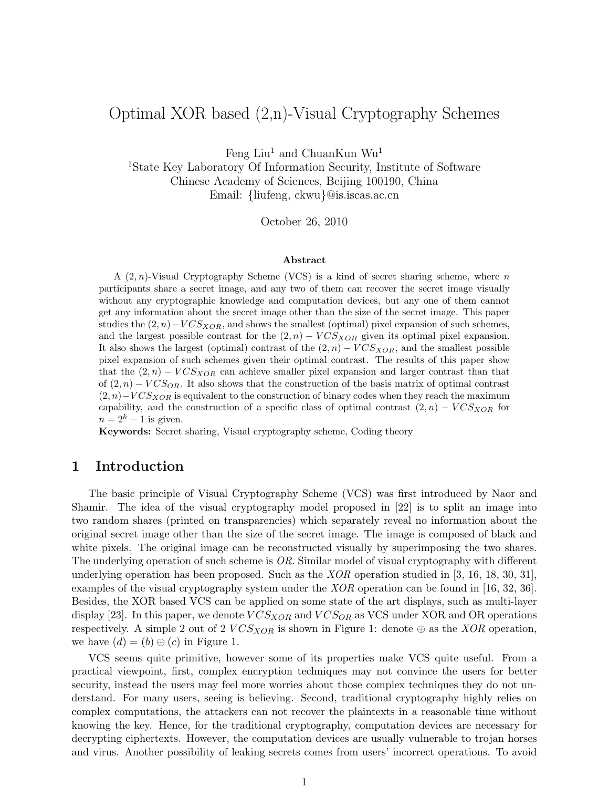# Optimal XOR based (2,n)-Visual Cryptography Schemes

Feng Liu<sup>1</sup> and ChuanKun Wu<sup>1</sup>

<sup>1</sup>State Key Laboratory Of Information Security, Institute of Software Chinese Academy of Sciences, Beijing 100190, China Email: {liufeng, ckwu}@is.iscas.ac.cn

October 26, 2010

#### Abstract

A  $(2, n)$ -Visual Cryptography Scheme (VCS) is a kind of secret sharing scheme, where n participants share a secret image, and any two of them can recover the secret image visually without any cryptographic knowledge and computation devices, but any one of them cannot get any information about the secret image other than the size of the secret image. This paper studies the  $(2, n)-VCS<sub>XOR</sub>$ , and shows the smallest (optimal) pixel expansion of such schemes, and the largest possible contrast for the  $(2, n) - VCS_{XOR}$  given its optimal pixel expansion. It also shows the largest (optimal) contrast of the  $(2, n) - VCS<sub>XOR</sub>$ , and the smallest possible pixel expansion of such schemes given their optimal contrast. The results of this paper show that the  $(2, n) - VCS<sub>XOR</sub>$  can achieve smaller pixel expansion and larger contrast than that of  $(2, n) - VCS_{OR}$ . It also shows that the construction of the basis matrix of optimal contrast  $(2, n)-VCS<sub>XOR</sub>$  is equivalent to the construction of binary codes when they reach the maximum capability, and the construction of a specific class of optimal contrast  $(2,n) - VCS<sub>XOR</sub>$  for  $n = 2<sup>k</sup> - 1$  is given.

Keywords: Secret sharing, Visual cryptography scheme, Coding theory

### 1 Introduction

The basic principle of Visual Cryptography Scheme (VCS) was first introduced by Naor and Shamir. The idea of the visual cryptography model proposed in [22] is to split an image into two random shares (printed on transparencies) which separately reveal no information about the original secret image other than the size of the secret image. The image is composed of black and white pixels. The original image can be reconstructed visually by superimposing the two shares. The underlying operation of such scheme is  $OR$ . Similar model of visual cryptography with different underlying operation has been proposed. Such as the  $XOR$  operation studied in [3, 16, 18, 30, 31], examples of the visual cryptography system under the XOR operation can be found in [16, 32, 36]. Besides, the XOR based VCS can be applied on some state of the art displays, such as multi-layer display [23]. In this paper, we denote  $VCS_{XOR}$  and  $VCS_{OR}$  as VCS under XOR and OR operations respectively. A simple 2 out of 2  $VCS_{XOR}$  is shown in Figure 1: denote  $\oplus$  as the XOR operation, we have  $(d) = (b) \oplus (c)$  in Figure 1.

VCS seems quite primitive, however some of its properties make VCS quite useful. From a practical viewpoint, first, complex encryption techniques may not convince the users for better security, instead the users may feel more worries about those complex techniques they do not understand. For many users, seeing is believing. Second, traditional cryptography highly relies on complex computations, the attackers can not recover the plaintexts in a reasonable time without knowing the key. Hence, for the traditional cryptography, computation devices are necessary for decrypting ciphertexts. However, the computation devices are usually vulnerable to trojan horses and virus. Another possibility of leaking secrets comes from users' incorrect operations. To avoid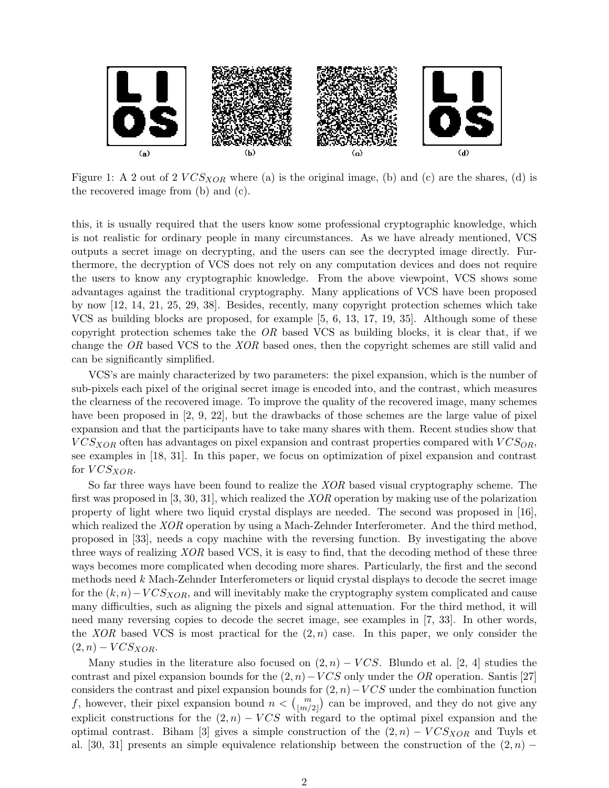

Figure 1: A 2 out of 2  $VCS_{XOR}$  where (a) is the original image, (b) and (c) are the shares, (d) is the recovered image from (b) and (c).

this, it is usually required that the users know some professional cryptographic knowledge, which is not realistic for ordinary people in many circumstances. As we have already mentioned, VCS outputs a secret image on decrypting, and the users can see the decrypted image directly. Furthermore, the decryption of VCS does not rely on any computation devices and does not require the users to know any cryptographic knowledge. From the above viewpoint, VCS shows some advantages against the traditional cryptography. Many applications of VCS have been proposed by now [12, 14, 21, 25, 29, 38]. Besides, recently, many copyright protection schemes which take VCS as building blocks are proposed, for example [5, 6, 13, 17, 19, 35]. Although some of these copyright protection schemes take the  $OR$  based VCS as building blocks, it is clear that, if we change the OR based VCS to the XOR based ones, then the copyright schemes are still valid and can be significantly simplified.

VCS's are mainly characterized by two parameters: the pixel expansion, which is the number of sub-pixels each pixel of the original secret image is encoded into, and the contrast, which measures the clearness of the recovered image. To improve the quality of the recovered image, many schemes have been proposed in [2, 9, 22], but the drawbacks of those schemes are the large value of pixel expansion and that the participants have to take many shares with them. Recent studies show that  $VCS_{XOR}$  often has advantages on pixel expansion and contrast properties compared with  $VCS_{OR}$ , see examples in [18, 31]. In this paper, we focus on optimization of pixel expansion and contrast for  $VCS_{XOR}$ .

So far three ways have been found to realize the XOR based visual cryptography scheme. The first was proposed in [3, 30, 31], which realized the XOR operation by making use of the polarization property of light where two liquid crystal displays are needed. The second was proposed in [16], which realized the *XOR* operation by using a Mach-Zehnder Interferometer. And the third method, proposed in [33], needs a copy machine with the reversing function. By investigating the above three ways of realizing XOR based VCS, it is easy to find, that the decoding method of these three ways becomes more complicated when decoding more shares. Particularly, the first and the second methods need  $k$  Mach-Zehnder Interferometers or liquid crystal displays to decode the secret image for the  $(k, n) - VCS<sub>XOR</sub>$ , and will inevitably make the cryptography system complicated and cause many difficulties, such as aligning the pixels and signal attenuation. For the third method, it will need many reversing copies to decode the secret image, see examples in [7, 33]. In other words, the XOR based VCS is most practical for the  $(2, n)$  case. In this paper, we only consider the  $(2, n) - VCS_{XOR}.$ 

Many studies in the literature also focused on  $(2, n) - VCS$ . Blundo et al. [2, 4] studies the contrast and pixel expansion bounds for the  $(2, n)-VCS$  only under the OR operation. Santis [27] considers the contrast and pixel expansion bounds for  $(2, n)-VCS$  under the combination function f, however, their pixel expansion bound  $n < \binom{m}{\lfloor m/2 \rfloor}$  can be improved, and they do not give any explicit constructions for the  $(2, n) - VCS$  with regard to the optimal pixel expansion and the optimal contrast. Biham [3] gives a simple construction of the  $(2, n) - VCS<sub>XOR</sub>$  and Tuyls et al. [30, 31] presents an simple equivalence relationship between the construction of the  $(2, n)$  –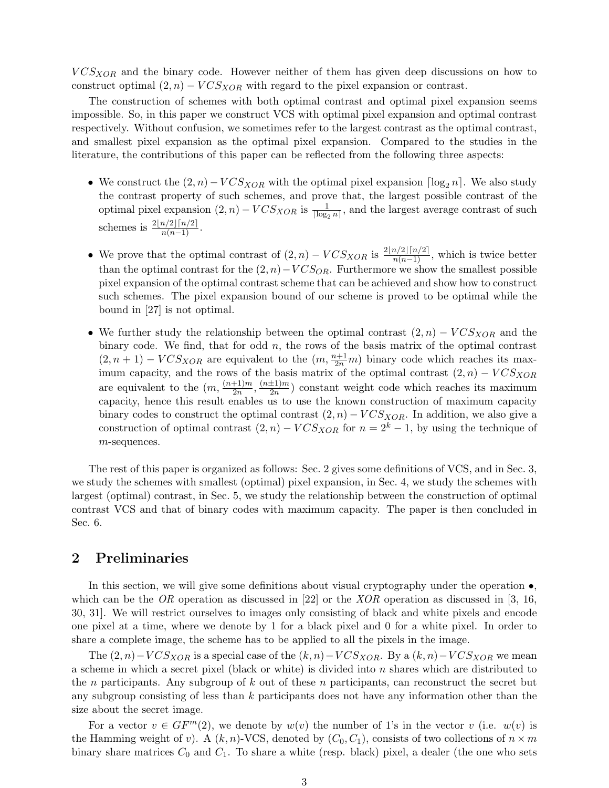$VCS<sub>XOR</sub>$  and the binary code. However neither of them has given deep discussions on how to construct optimal  $(2, n) - VCS_{XOR}$  with regard to the pixel expansion or contrast.

The construction of schemes with both optimal contrast and optimal pixel expansion seems impossible. So, in this paper we construct VCS with optimal pixel expansion and optimal contrast respectively. Without confusion, we sometimes refer to the largest contrast as the optimal contrast, and smallest pixel expansion as the optimal pixel expansion. Compared to the studies in the literature, the contributions of this paper can be reflected from the following three aspects:

- We construct the  $(2, n) VCS_{XOR}$  with the optimal pixel expansion  $\lceil \log_2 n \rceil$ . We also study the contrast property of such schemes, and prove that, the largest possible contrast of the optimal pixel expansion  $(2, n) - VCS_{XOR}$  is  $\frac{1}{\lceil \log_2 n \rceil}$ , and the largest average contrast of such schemes is  $\frac{2\lfloor n/2\rfloor \lceil n/2\rceil}{n(n-1)}$ .
- We prove that the optimal contrast of  $(2, n) VCS_{XOR}$  is  $\frac{2\lfloor n/2 \rfloor \lceil n/2 \rceil}{n(n-1)}$ , which is twice better than the optimal contrast for the  $(2, n)-VCS_{OR}$ . Furthermore we show the smallest possible pixel expansion of the optimal contrast scheme that can be achieved and show how to construct such schemes. The pixel expansion bound of our scheme is proved to be optimal while the bound in [27] is not optimal.
- We further study the relationship between the optimal contrast  $(2, n) VCS_{XOR}$  and the binary code. We find, that for odd  $n$ , the rows of the basis matrix of the optimal contrast  $(2, n+1) - VCS_{XOR}$  are equivalent to the  $(m, \frac{n+1}{2n}m)$  binary code which reaches its maximum capacity, and the rows of the basis matrix of the optimal contrast  $(2, n) - VCS<sub>XOR</sub>$ are equivalent to the  $(m, \frac{(n+1)m}{2m})$  $\frac{(n\pm 1)m}{2n}$ ,  $\frac{(n\pm 1)m}{2n}$  $\frac{\pm 1/m}{2n}$  constant weight code which reaches its maximum capacity, hence this result enables us to use the known construction of maximum capacity binary codes to construct the optimal contrast  $(2, n) - VCS<sub>XOR</sub>$ . In addition, we also give a construction of optimal contrast  $(2, n) - VCS_{XOR}$  for  $n = 2<sup>k</sup> - 1$ , by using the technique of  $m$ -sequences.

The rest of this paper is organized as follows: Sec. 2 gives some definitions of VCS, and in Sec. 3, we study the schemes with smallest (optimal) pixel expansion, in Sec. 4, we study the schemes with largest (optimal) contrast, in Sec. 5, we study the relationship between the construction of optimal contrast VCS and that of binary codes with maximum capacity. The paper is then concluded in Sec. 6.

### 2 Preliminaries

In this section, we will give some definitions about visual cryptography under the operation ∙, which can be the OR operation as discussed in [22] or the  $XOR$  operation as discussed in [3, 16, 30, 31]. We will restrict ourselves to images only consisting of black and white pixels and encode one pixel at a time, where we denote by 1 for a black pixel and 0 for a white pixel. In order to share a complete image, the scheme has to be applied to all the pixels in the image.

The  $(2, n) - VCS_{XOR}$  is a special case of the  $(k, n) - VCS_{XOR}$ . By a  $(k, n) - VCS_{XOR}$  we mean a scheme in which a secret pixel (black or white) is divided into  $n$  shares which are distributed to the *n* participants. Any subgroup of  $k$  out of these *n* participants, can reconstruct the secret but any subgroup consisting of less than  $k$  participants does not have any information other than the size about the secret image.

For a vector  $v \in GF^m(2)$ , we denote by  $w(v)$  the number of 1's in the vector v (i.e.  $w(v)$ ) is the Hamming weight of v). A  $(k, n)$ -VCS, denoted by  $(C_0, C_1)$ , consists of two collections of  $n \times m$ binary share matrices  $C_0$  and  $C_1$ . To share a white (resp. black) pixel, a dealer (the one who sets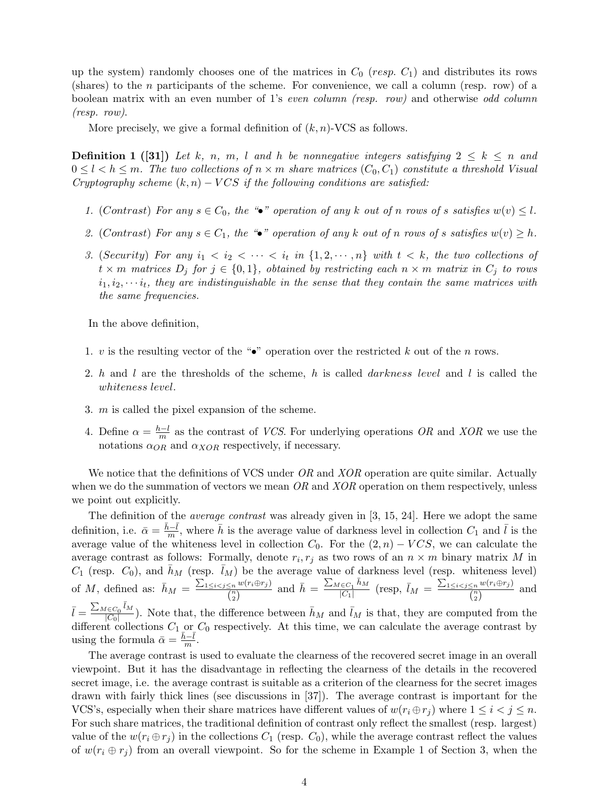up the system) randomly chooses one of the matrices in  $C_0$  ( $resp. C_1$ ) and distributes its rows (shares) to the  $n$  participants of the scheme. For convenience, we call a column (resp. row) of a boolean matrix with an even number of 1's even column (resp. row) and otherwise odd column (resp. row).

More precisely, we give a formal definition of  $(k, n)$ -VCS as follows.

**Definition 1** ([31]) Let k, n, m, l and h be nonnegative integers satisfying  $2 \leq k \leq n$  and  $0 \leq l < h \leq m$ . The two collections of  $n \times m$  share matrices  $(C_0, C_1)$  constitute a threshold Visual Cryptography scheme  $(k, n) - VCS$  if the following conditions are satisfied:

- 1. (Contrast) For any  $s \in C_0$ , the "•" operation of any k out of n rows of s satisfies  $w(v) \leq l$ .
- 2. (Contrast) For any  $s \in C_1$ , the "•" operation of any k out of n rows of s satisfies  $w(v) \geq h$ .
- 3. (Security) For any  $i_1 < i_2 < \cdots < i_t$  in  $\{1, 2, \cdots, n\}$  with  $t < k$ , the two collections of  $t \times m$  matrices  $D_j$  for  $j \in \{0, 1\}$ , obtained by restricting each  $n \times m$  matrix in  $C_j$  to rows  $i_1, i_2, \dots, i_t$ , they are indistinguishable in the sense that they contain the same matrices with the same frequencies.

In the above definition,

- 1. v is the resulting vector of the "•" operation over the restricted k out of the n rows.
- 2.  $h$  and  $l$  are the thresholds of the scheme,  $h$  is called  $darkness$  level and  $l$  is called the whiteness level.
- 3.  $m$  is called the pixel expansion of the scheme.
- 4. Define  $\alpha = \frac{h-l}{m}$  $\frac{n-1}{m}$  as the contrast of *VCS*. For underlying operations *OR* and *XOR* we use the notations  $\alpha_{OR}$  and  $\alpha_{XOR}$  respectively, if necessary.

We notice that the definitions of VCS under  $OR$  and  $XOR$  operation are quite similar. Actually when we do the summation of vectors we mean  $OR$  and  $XOR$  operation on them respectively, unless we point out explicitly.

The definition of the *average contrast* was already given in  $[3, 15, 24]$ . Here we adopt the same definition, i.e.  $\bar{\alpha} = \frac{\bar{h}-\bar{l}}{m}$  $\frac{i-\bar{l}}{m}$ , where  $\bar{h}$  is the average value of darkness level in collection  $C_1$  and  $\bar{l}$  is the average value of the whiteness level in collection  $C_0$ . For the  $(2, n) - VCS$ , we can calculate the average contrast as follows: Formally, denote  $r_i, r_j$  as two rows of an  $n \times m$  binary matrix M in  $C_1$  (resp.  $C_0$ ), and  $\bar{h}_M$  (resp.  $\bar{l}_M$ ) be the average value of darkness level (resp. whiteness level) of M, defined as:  $\bar{h}_M = \frac{\sum_{1 \leq i < j \leq n} w(r_i \oplus r_j)}{n}$  $\frac{\sum_{i=1}^{\infty} w(r_i \oplus r_j)}{\binom{n}{2}}$  and  $\overline{h} = \frac{\sum_{M \in C_1} \overline{h}_M}{|C_1|}$  $\frac{\sum_{1 \leq i < j \leq n} w(r_i \oplus r_j)}{|C_1|}$  (resp,  $\bar{l}_M = \frac{\sum_{1 \leq i < j \leq n} w(r_i \oplus r_j)}{\binom{n}{2}}$  $\frac{\binom{n}{n} \frac{\omega(r_i \omega r_j)}{r_j}}{\binom{n}{2}}$  and  $\bar{l} = \frac{\sum_{M \in C_0} \bar{l}_M}{|C_0|}$  $\frac{\bar{I} \in C_0{}^{l_M}}{|C_0|}$ . Note that, the difference between  $\bar{h}_M$  and  $\bar{I}_M$  is that, they are computed from the different collections  $C_1$  or  $C_0$  respectively. At this time, we can calculate the average contrast by using the formula  $\bar{\phi} = \bar{h} - \bar{l}$ 

using the formula  $\bar{\alpha} = \frac{h-l}{m}$ .

The average contrast is used to evaluate the clearness of the recovered secret image in an overall viewpoint. But it has the disadvantage in reflecting the clearness of the details in the recovered secret image, i.e. the average contrast is suitable as a criterion of the clearness for the secret images drawn with fairly thick lines (see discussions in [37]). The average contrast is important for the VCS's, especially when their share matrices have different values of  $w(r_i \oplus r_j)$  where  $1 \leq i < j \leq n$ . For such share matrices, the traditional definition of contrast only reflect the smallest (resp. largest) value of the  $w(r_i \oplus r_j)$  in the collections  $C_1$  (resp.  $C_0$ ), while the average contrast reflect the values of  $w(r_i \oplus r_j)$  from an overall viewpoint. So for the scheme in Example 1 of Section 3, when the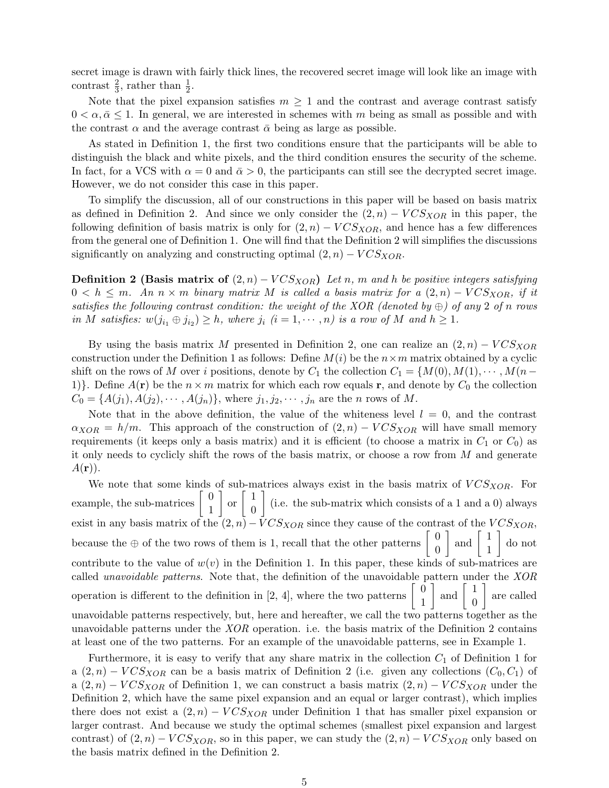secret image is drawn with fairly thick lines, the recovered secret image will look like an image with contrast  $\frac{2}{3}$ , rather than  $\frac{1}{2}$ .

Note that the pixel expansion satisfies  $m \geq 1$  and the contrast and average contrast satisfy  $0 < \alpha, \bar{\alpha} \leq 1$ . In general, we are interested in schemes with m being as small as possible and with the contrast  $\alpha$  and the average contrast  $\bar{\alpha}$  being as large as possible.

As stated in Definition 1, the first two conditions ensure that the participants will be able to distinguish the black and white pixels, and the third condition ensures the security of the scheme. In fact, for a VCS with  $\alpha = 0$  and  $\bar{\alpha} > 0$ , the participants can still see the decrypted secret image. However, we do not consider this case in this paper.

To simplify the discussion, all of our constructions in this paper will be based on basis matrix as defined in Definition 2. And since we only consider the  $(2, n) - VCS<sub>XOR</sub>$  in this paper, the following definition of basis matrix is only for  $(2, n) - VCS<sub>XOR</sub>$ , and hence has a few differences from the general one of Definition 1. One will find that the Definition 2 will simplifies the discussions significantly on analyzing and constructing optimal  $(2, n) - VCS<sub>XOR</sub>$ .

**Definition 2 (Basis matrix of**  $(2, n) - VCS<sub>XOR</sub>$ ) Let n, m and h be positive integers satisfying  $0 < h \leq m$ . An  $n \times m$  binary matrix M is called a basis matrix for a  $(2, n) - VCS<sub>XOR</sub>$ , if it satisfies the following contrast condition: the weight of the XOR (denoted by  $\oplus$ ) of any 2 of n rows in M satisfies:  $w(j_{i_1} \oplus j_{i_2}) \geq h$ , where  $j_i$   $(i = 1, \dots, n)$  is a row of M and  $h \geq 1$ .

By using the basis matrix M presented in Definition 2, one can realize an  $(2, n) - VCS<sub>XOR</sub>$ construction under the Definition 1 as follows: Define  $M(i)$  be the  $n \times m$  matrix obtained by a cyclic shift on the rows of M over i positions, denote by  $C_1$  the collection  $C_1 = \{M(0), M(1), \cdots, M(n-1)\}$ 1). Define  $A(\mathbf{r})$  be the  $n \times m$  matrix for which each row equals r, and denote by  $C_0$  the collection  $C_0 = \{A(j_1), A(j_2), \cdots, A(j_n)\}\$ , where  $j_1, j_2, \cdots, j_n$  are the *n* rows of M.

Note that in the above definition, the value of the whiteness level  $l = 0$ , and the contrast  $\alpha_{XOR} = h/m$ . This approach of the construction of  $(2, n) - VCS_{XOR}$  will have small memory requirements (it keeps only a basis matrix) and it is efficient (to choose a matrix in  $C_1$  or  $C_0$ ) as it only needs to cyclicly shift the rows of the basis matrix, or choose a row from  $M$  and generate  $A(\mathbf{r})$ .

We note that some kinds of sub-matrices always exist in the basis matrix of  $VCS<sub>XOR</sub>$ . For example, the sub-matrices  $\begin{bmatrix} 0 \\ 1 \end{bmatrix}$ 1  $\Big]$  or  $\Big[$   $\Big]$  $\overline{0}$ ] (i.e. the sub-matrix which consists of a 1 and a 0) always exist in any basis matrix of the  $(2, n) - VCS<sub>XOR</sub>$  since they cause of the contrast of the  $VCS<sub>XOR</sub>$ , because the  $\oplus$  of the two rows of them is 1, recall that the other patterns  $\begin{bmatrix} 0 \\ 0 \end{bmatrix}$  $\overline{0}$  $\Big]$  and  $\Big[$   $\frac{1}{1}$ 1 ] do not contribute to the value of  $w(v)$  in the Definition 1. In this paper, these kinds of sub-matrices are called unavoidable patterns. Note that, the definition of the unavoidable pattern under the XOR operation is different to the definition in [2, 4], where the two patterns  $\begin{bmatrix} 0 \\ 1 \end{bmatrix}$ 1  $\Big]$  and  $\Big[$   $\Big]$  $\overline{0}$ ] are called unavoidable patterns respectively, but, here and hereafter, we call the two patterns together as the unavoidable patterns under the  $XOR$  operation. i.e. the basis matrix of the Definition 2 contains at least one of the two patterns. For an example of the unavoidable patterns, see in Example 1.

Furthermore, it is easy to verify that any share matrix in the collection  $C_1$  of Definition 1 for a  $(2, n)$  –  $VCS_{XOR}$  can be a basis matrix of Definition 2 (i.e. given any collections  $(C_0, C_1)$  of a  $(2, n)$  –  $VCS<sub>XOR</sub>$  of Definition 1, we can construct a basis matrix  $(2, n)$  –  $VCS<sub>XOR</sub>$  under the Definition 2, which have the same pixel expansion and an equal or larger contrast), which implies there does not exist a  $(2, n) - VCS_{XOR}$  under Definition 1 that has smaller pixel expansion or larger contrast. And because we study the optimal schemes (smallest pixel expansion and largest contrast) of  $(2, n) - VCS_{XOR}$ , so in this paper, we can study the  $(2, n) - VCS_{XOR}$  only based on the basis matrix defined in the Definition 2.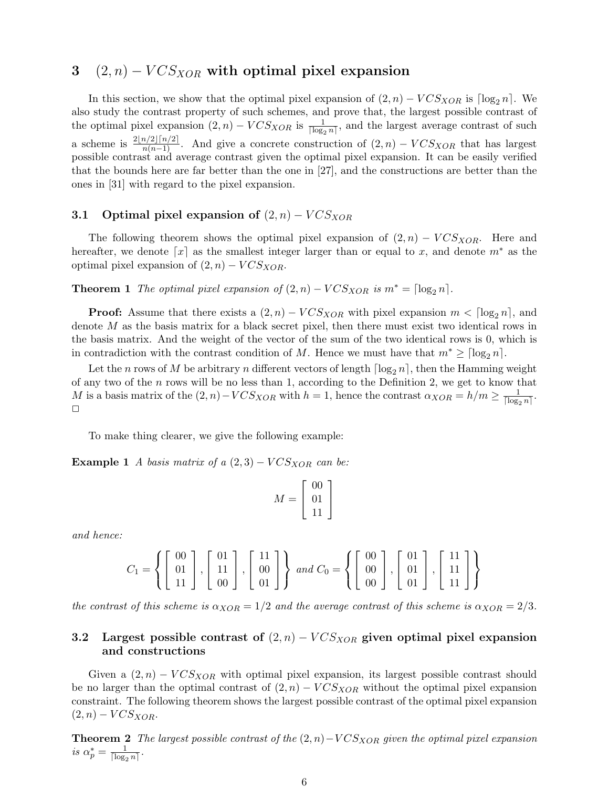## 3  $(2, n) - VCS_{XOR}$  with optimal pixel expansion

In this section, we show that the optimal pixel expansion of  $(2, n) - VCS_{XOR}$  is  $\lceil \log_2 n \rceil$ . We also study the contrast property of such schemes, and prove that, the largest possible contrast of the optimal pixel expansion  $(2, n) - VCS_{XOR}$  is  $\frac{1}{\lceil \log_2 n \rceil}$ , and the largest average contrast of such a scheme is  $\frac{2[n/2][n/2]}{n(n-1)}$ . And give a concrete construction of  $(2, n) - VCS<sub>XOR</sub>$  that has largest possible contrast and average contrast given the optimal pixel expansion. It can be easily verified that the bounds here are far better than the one in [27], and the constructions are better than the ones in [31] with regard to the pixel expansion.

# 3.1 Optimal pixel expansion of  $(2, n) - VCS<sub>XOR</sub>$

The following theorem shows the optimal pixel expansion of  $(2, n) - VCS<sub>XOR</sub>$ . Here and hereafter, we denote  $[x]$  as the smallest integer larger than or equal to x, and denote  $m^*$  as the optimal pixel expansion of  $(2, n) - VCS_{XOR}$ .

**Theorem 1** The optimal pixel expansion of  $(2, n) - VCS_{XOR}$  is  $m^* = \lceil \log_2 n \rceil$ .

**Proof:** Assume that there exists a  $(2, n) - VCS_{XOR}$  with pixel expansion  $m < \lceil \log_2 n \rceil$ , and denote  $M$  as the basis matrix for a black secret pixel, then there must exist two identical rows in the basis matrix. And the weight of the vector of the sum of the two identical rows is 0, which is in contradiction with the contrast condition of M. Hence we must have that  $m^* \geq \lceil \log_2 n \rceil$ .

Let the *n* rows of *M* be arbitrary *n* different vectors of length  $\lceil \log_2 n \rceil$ , then the Hamming weight of any two of the  $n$  rows will be no less than 1, according to the Definition 2, we get to know that M is a basis matrix of the  $(2, n) - VCS_{XOR}$  with  $h = 1$ , hence the contrast  $\alpha_{XOR} = h/m \ge \frac{1}{\log n}$  $\frac{1}{\lceil \log_2 n \rceil}$ . □

To make thing clearer, we give the following example:

**Example 1** A basis matrix of a  $(2,3)$  –  $VCS<sub>XOR</sub>$  can be:

$$
M = \left[ \begin{array}{c} 00 \\ 01 \\ 11 \end{array} \right]
$$

and hence:

$$
C_1 = \left\{ \begin{bmatrix} 00 \\ 01 \\ 11 \end{bmatrix}, \begin{bmatrix} 01 \\ 11 \\ 00 \end{bmatrix}, \begin{bmatrix} 11 \\ 00 \\ 01 \end{bmatrix} \right\} \text{ and } C_0 = \left\{ \begin{bmatrix} 00 \\ 00 \\ 00 \end{bmatrix}, \begin{bmatrix} 01 \\ 01 \\ 01 \end{bmatrix}, \begin{bmatrix} 11 \\ 11 \\ 11 \end{bmatrix} \right\}
$$

the contrast of this scheme is  $\alpha_{XOR} = 1/2$  and the average contrast of this scheme is  $\alpha_{XOR} = 2/3$ .

### 3.2 Largest possible contrast of  $(2, n) - VCS<sub>XOR</sub>$  given optimal pixel expansion and constructions

Given a  $(2, n) - VCS<sub>XOR</sub>$  with optimal pixel expansion, its largest possible contrast should be no larger than the optimal contrast of  $(2, n) - VCS<sub>XOR</sub>$  without the optimal pixel expansion constraint. The following theorem shows the largest possible contrast of the optimal pixel expansion  $(2, n) - VCSXOR.$ 

**Theorem 2** The largest possible contrast of the  $(2, n) - VCS_{XOR}$  given the optimal pixel expansion is  $\alpha_p^* = \frac{1}{\lceil \log e \rceil}$  $\frac{1}{\lceil \log_2 n \rceil}$ .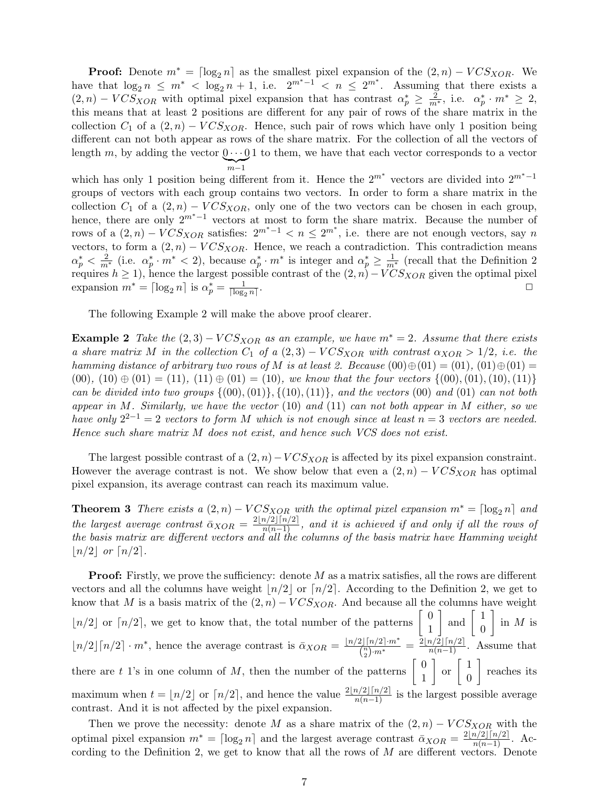**Proof:** Denote  $m^* = \lceil \log_2 n \rceil$  as the smallest pixel expansion of the  $(2, n) - VCS<sub>XOR</sub>$ . We have that  $\log_2 n \leq m^* < \log_2 n + 1$ , i.e.  $2^{m^*-1} < n \leq 2^{m^*}$ . Assuming that there exists a  $(2, n) - VCS_{XOR}$  with optimal pixel expansion that has contrast  $\alpha_p^* \geq \frac{2}{m^*}$ , i.e.  $\alpha_p^* \cdot m^* \geq 2$ , this means that at least 2 positions are different for any pair of rows of the share matrix in the collection  $C_1$  of a  $(2, n) - VCS<sub>XOR</sub>$ . Hence, such pair of rows which have only 1 position being different can not both appear as rows of the share matrix. For the collection of all the vectors of length m, by adding the vector  $0 \cdots 0$  to them, we have that each vector corresponds to a vector  $\sum_{m-1}$ 

which has only 1 position being different from it. Hence the  $2^{m^*}$  vectors are divided into  $2^{m^*-1}$ groups of vectors with each group contains two vectors. In order to form a share matrix in the collection  $C_1$  of a  $(2, n) - VCS_{XOR}$ , only one of the two vectors can be chosen in each group, hence, there are only  $2^{m^*-1}$  vectors at most to form the share matrix. Because the number of rows of a  $(2, n) - VCS<sub>XOR</sub>$  satisfies:  $2^{m^*-1} < n \leq 2^{m^*}$ , i.e. there are not enough vectors, say n vectors, to form a  $(2, n) - VCS<sub>XOR</sub>$ . Hence, we reach a contradiction. This contradiction means  $\alpha_p^* < \frac{2}{m^*}$  (i.e.  $\alpha_p^* \cdot m^* < 2$ ), because  $\alpha_p^* \cdot m^*$  is integer and  $\alpha_p^* \geq \frac{1}{m^*}$  (recall that the Definition 2 requires  $h \geq 1$ ), hence the largest possible contrast of the  $(2, n) - \text{VCS}_{XOR}$  given the optimal pixel expansion  $m^* = \lceil \log_2 n \rceil$  is  $\alpha_p^* = \frac{1}{\lceil \log_2 p \rceil}$  $\lceil \log_2 n \rceil$ . □

The following Example 2 will make the above proof clearer.

**Example 2** Take the  $(2,3) - VCS_{XOR}$  as an example, we have  $m^* = 2$ . Assume that there exists a share matrix M in the collection  $C_1$  of a  $(2, 3) - VCS_{XOR}$  with contrast  $\alpha_{XOR} > 1/2$ , i.e. the hamming distance of arbitrary two rows of M is at least 2. Because  $(00) \oplus (01) = (01)$ ,  $(01) \oplus (01) =$ (00), (10)  $\oplus$  (01) = (11), (11)  $\oplus$  (01) = (10), we know that the four vectors {(00), (01), (10), (11)} can be divided into two groups  $\{(00),(01)\}\$ ,  $\{(10),(11)\}$ , and the vectors  $(00)$  and  $(01)$  can not both appear in M. Similarly, we have the vector  $(10)$  and  $(11)$  can not both appear in M either, so we have only  $2^{2-1} = 2$  vectors to form M which is not enough since at least  $n = 3$  vectors are needed. Hence such share matrix  $M$  does not exist, and hence such VCS does not exist.

The largest possible contrast of a  $(2, n) - VCS<sub>XOR</sub>$  is affected by its pixel expansion constraint. However the average contrast is not. We show below that even a  $(2, n) - VCS<sub>XOR</sub>$  has optimal pixel expansion, its average contrast can reach its maximum value.

**Theorem 3** There exists a  $(2, n) - VCS_{XOR}$  with the optimal pixel expansion  $m^* = \lceil \log_2 n \rceil$  and the largest average contrast  $\bar{\alpha}_{XOR} = \frac{2\lfloor n/2 \rfloor \lceil n/2 \rceil}{n(n-1)}$ , and it is achieved if and only if all the rows of the basis matrix are different vectors and all the columns of the basis matrix have Hamming weight  $\lfloor n/2 \rfloor$  or  $\lfloor n/2 \rfloor$ .

**Proof:** Firstly, we prove the sufficiency: denote  $M$  as a matrix satisfies, all the rows are different vectors and all the columns have weight  $\lfloor n/2 \rfloor$  or  $\lfloor n/2 \rfloor$ . According to the Definition 2, we get to know that M is a basis matrix of the  $(2, n) - VCS<sub>XOR</sub>$ . And because all the columns have weight  $\lfloor n/2 \rfloor$  or  $\lfloor n/2 \rfloor$ , we get to know that, the total number of the patterns  $\begin{bmatrix} 0 \\ 1 \end{bmatrix}$ 1  $\Big]$  and  $\Big[$   $\Big]$ 0  $\Big]$  in M is  $\lfloor n/2 \rfloor \lceil n/2 \rceil \cdot m^*$ , hence the average contrast is  $\bar{\alpha}_{XOR} = \frac{\lfloor n/2 \rfloor \lceil n/2 \rceil \cdot m^*}{\binom{n}{m}}$  $\frac{2\lfloor \lceil n/2 \rceil \cdot m^*}{\binom{n}{2} \cdot m^*} = \frac{2\lfloor n/2 \rfloor \lceil n/2 \rceil}{n(n-1)}.$  Assume that there are t 1's in one column of M, then the number of the patterns  $\begin{bmatrix} 0 \\ 1 \end{bmatrix}$ 1  $\Big]$  or  $\Big[$   $\Big]$ 0 ] reaches its maximum when  $t = \lfloor n/2 \rfloor$  or  $\lceil n/2 \rceil$ , and hence the value  $\frac{2\lfloor n/2 \rfloor \lceil n/2 \rceil}{n(n-1)}$  is the largest possible average contrast. And it is not affected by the pixel expansion.

Then we prove the necessity: denote M as a share matrix of the  $(2, n) - VCS<sub>XOR</sub>$  with the optimal pixel expansion  $m^* = \lceil \log_2 n \rceil$  and the largest average contrast  $\bar{\alpha}_{XOR} = \frac{2\lfloor n/2 \rfloor \lceil n/2 \rceil}{n(n-1)}$ . According to the Definition 2, we get to know that all the rows of  $M$  are different vectors. Denote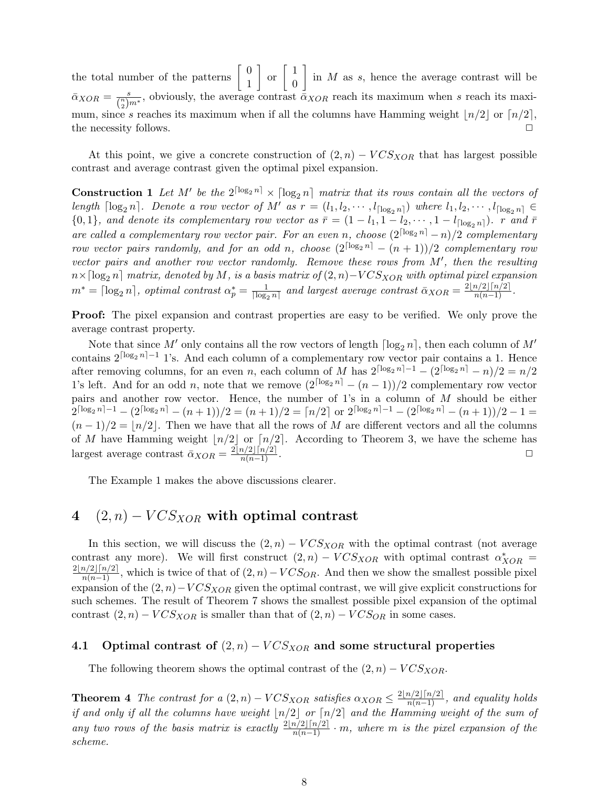the total number of the patterns  $\begin{bmatrix} 0 \\ 1 \end{bmatrix}$ 1  $\Big]$  or  $\Big[$   $\Big]$  $\overline{0}$  $\left[\begin{array}{cc} \text{in} \; M \; \text{as} \; s, \; \text{hence the average contrast will be}\end{array}\right]$  $\bar{\alpha}_{XOR} = \frac{s}{\binom{n}{k}}$  $\frac{s}{\binom{n}{2}m^*}$ , obviously, the average contrast  $\bar{\alpha}_{XOR}$  reach its maximum when s reach its maximum, since s reaches its maximum when if all the columns have Hamming weight  $\lfloor n/2 \rfloor$  or  $\lfloor n/2 \rfloor$ , the necessity follows. □

At this point, we give a concrete construction of  $(2, n) - VCS_{XOR}$  that has largest possible contrast and average contrast given the optimal pixel expansion.

**Construction 1** Let M' be the  $2^{\lceil \log_2 n \rceil} \times \lceil \log_2 n \rceil$  matrix that its rows contain all the vectors of length  $\lceil \log_2 n \rceil$ . Denote a row vector of M' as  $r = (l_1, l_2, \cdots, l_{\lceil \log_2 n \rceil})$  where  $l_1, l_2, \cdots, l_{\lceil \log_2 n \rceil} \in$  $\{0,1\}$ , and denote its complementary row vector as  $\bar{r} = (1 - l_1, 1 - l_2, \dots, 1 - l_{\lceil \log_2 n \rceil})$ . r and  $\bar{r}$ are called a complementary row vector pair. For an even n, choose  $(2^{\lceil \log_2 n \rceil} - n)/2$  complementary row vector pairs randomly, and for an odd n, choose  $(2^{\lceil \log_2 n \rceil} - (n+1))/2$  complementary row vector pairs and another row vector randomly. Remove these rows from  $M'$ , then the resulting  $n \times \lceil \log_2 n \rceil$  matrix, denoted by M, is a basis matrix of  $(2, n) - VCS_{XOR}$  with optimal pixel expansion  $m^* = \lceil \log_2 n \rceil$ , optimal contrast  $\alpha_p^* = \frac{1}{\lceil \log_2 n \rceil}$  $\frac{1}{\lceil \log_2 n \rceil}$  and largest average contrast  $\bar{\alpha}_{XOR} = \frac{2\lfloor n/2 \rfloor \lceil n/2 \rceil}{n(n-1)}$ .

Proof: The pixel expansion and contrast properties are easy to be verified. We only prove the average contrast property.

Note that since M' only contains all the row vectors of length  $\lceil \log_2 n \rceil$ , then each column of M' contains  $2^{\lceil \log_2 n \rceil - 1}$  1's. And each column of a complementary row vector pair contains a 1. Hence after removing columns, for an even *n*, each column of M has  $2^{\lceil \log_2 n \rceil - 1} - (2^{\lceil \log_2 n \rceil} - n)/2 = n/2$ 1's left. And for an odd *n*, note that we remove  $(2^{\lceil \log_2 n \rceil} - (n-1))/2$  complementary row vector pairs and another row vector. Hence, the number of 1's in a column of  $M$  should be either  $2^{\lceil \log_2 n \rceil - 1} - (2^{\lceil \log_2 n \rceil} - (n+1))/2 = (n+1)/2 = \lceil n/2 \rceil$  or  $2^{\lceil \log_2 n \rceil - 1} - (2^{\lceil \log_2 n \rceil} - (n+1))/2 - 1 =$  $(n-1)/2 = |n/2|$ . Then we have that all the rows of M are different vectors and all the columns of M have Hamming weight  $\lfloor n/2 \rfloor$  or  $\lfloor n/2 \rfloor$ . According to Theorem 3, we have the scheme has largest average contrast  $\bar{\alpha}_{XOR} = \frac{2\lfloor n/2 \rfloor \lceil n/2 \rceil}{n(n-1)}$ .

The Example 1 makes the above discussions clearer.

# 4  $(2, n) - VCS<sub>XOR</sub>$  with optimal contrast

In this section, we will discuss the  $(2, n) - VCS<sub>XOR</sub>$  with the optimal contrast (not average contrast any more). We will first construct  $(2,n) - VCS<sub>XOR</sub>$  with optimal contrast  $\alpha^*_{XOR}$  $\frac{2[n/2]\lceil n/2\rceil}{n(n-1)}$ , which is twice of that of  $(2, n) - VCS_{OR}$ . And then we show the smallest possible pixel expansion of the  $(2, n)-VCS<sub>XOR</sub>$  given the optimal contrast, we will give explicit constructions for such schemes. The result of Theorem 7 shows the smallest possible pixel expansion of the optimal contrast  $(2, n) - VCS_{XOR}$  is smaller than that of  $(2, n) - VCS_{OR}$  in some cases.

#### 4.1 Optimal contrast of  $(2, n) - VCS<sub>XOR</sub>$  and some structural properties

The following theorem shows the optimal contrast of the  $(2, n) - VCS<sub>XOR</sub>$ .

**Theorem 4** The contrast for a  $(2, n) - VCS_{XOR}$  satisfies  $\alpha_{XOR} \leq \frac{2\lfloor n/2 \rfloor \lceil n/2 \rceil}{n(n-1)}$ , and equality holds if and only if all the columns have weight  $\lfloor n/2 \rfloor$  or  $\lceil n/2 \rceil$  and the Hamming weight of the sum of any two rows of the basis matrix is exactly  $\frac{2\lfloor n/2\rfloor \lceil n/2\rceil}{n(n-1)} \cdot m$ , where m is the pixel expansion of the scheme.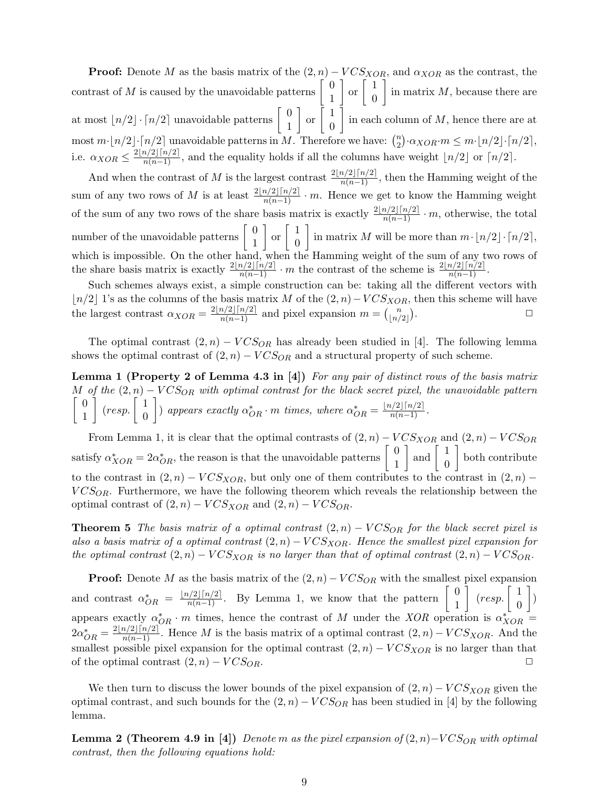**Proof:** Denote M as the basis matrix of the  $(2, n) - VCS_{XOR}$ , and  $\alpha_{XOR}$  as the contrast, the contrast of M is caused by the unavoidable patterns  $\begin{bmatrix} 0 \\ 1 \end{bmatrix}$ 1  $\Big]$  or  $\Big[$   $\Big]$ 0  $\Big]$  in matrix M, because there are at most  $\lfloor n/2 \rfloor \cdot \lceil n/2 \rceil$  unavoidable patterns  $\begin{bmatrix} 0 \\ 1 \end{bmatrix}$ 1  $\Big]$  or  $\Big[$   $\Big]$ 0 in each column of  $M$ , hence there are at most  $m \cdot \lfloor n/2 \rfloor \cdot \lceil n/2 \rceil$  unavoidable patterns in M. Therefore we have:  $\binom{n}{2}$  $\sum_{2}^{n} \cdot \alpha_{XOR} \cdot m \leq m \cdot \lfloor n/2 \rfloor \cdot \lceil n/2 \rceil$ i.e.  $\alpha_{XOR} \leq \frac{2\lfloor n/2 \rfloor \lceil n/2 \rceil}{n(n-1)}$ , and the equality holds if all the columns have weight  $\lfloor n/2 \rfloor$  or  $\lceil n/2 \rceil$ .

And when the contrast of M is the largest contrast  $\frac{2\lfloor n/2\rfloor \lceil n/2\rceil}{n(n-1)}$ , then the Hamming weight of the sum of any two rows of M is at least  $\frac{2\lfloor n/2\rfloor \lceil n/2\rceil}{n(n-1)} \cdot m$ . Hence we get to know the Hamming weight of the sum of any two rows of the share basis matrix is exactly  $\frac{2\lfloor n/2\rfloor \lceil n/2\rceil}{n(n-1)} \cdot m$ , otherwise, the total number of the unavoidable patterns  $\begin{bmatrix} 0 \\ 1 \end{bmatrix}$ 1  $\Big]$  or  $\Big[$   $\Big]$ 0 in matrix M will be more than  $m \cdot |n/2| \cdot \lceil n/2 \rceil$ , which is impossible. On the other hand, when the Hamming weight of the sum of any two rows of the share basis matrix is exactly  $\frac{2\lfloor n/2\rfloor \lceil n/2\rceil}{n(n-1)} \cdot m$  the contrast of the scheme is  $\frac{2\lfloor n/2\rfloor \lceil n/2\rceil}{n(n-1)}$ .

Such schemes always exist, a simple construction can be: taking all the different vectors with | $n/2$ | 1's as the columns of the basis matrix M of the  $(2, n)$ − $VCS<sub>XOR</sub>$ , then this scheme will have the largest contrast  $\alpha_{XOR} = \frac{2\lfloor n/2 \rfloor \lceil n/2 \rceil}{n(n-1)}$  and pixel expansion  $m = \binom{n}{\lfloor n/2 \rfloor}$  $\binom{n}{|n/2|}$ . □

The optimal contrast  $(2, n) - VCS_{OR}$  has already been studied in [4]. The following lemma shows the optimal contrast of  $(2, n) - VCS_{OR}$  and a structural property of such scheme.

Lemma 1 (Property 2 of Lemma 4.3 in [4]) For any pair of distinct rows of the basis matrix M of the  $(2, n)$  –  $VCS_{OR}$  with optimal contrast for the black secret pixel, the unavoidable pattern  $\begin{bmatrix} 0 \end{bmatrix}$ 1  $\Big\vert$  (resp.  $\Big\vert$   $\Big\vert$ 0 ) appears exactly  $\alpha_{OR}^* \cdot m$  times, where  $\alpha_{OR}^* = \frac{\lfloor n/2 \rfloor \lceil n/2 \rceil}{n(n-1)}$ .

From Lemma 1, it is clear that the optimal contrasts of  $(2, n) - VCS_{XOR}$  and  $(2, n) - VCS_{OR}$ satisfy  $\alpha_{XOR}^* = 2\alpha_{OR}^*$ , the reason is that the unavoidable patterns  $\begin{bmatrix} 0 \\ 1 \end{bmatrix}$ 1  $\Big]$  and  $\Big[$   $\Big]$ 0 ] both contribute to the contrast in  $(2, n) - VCS_{XOR}$ , but only one of them contributes to the contrast in  $(2, n)$  –  $VCS_{OR}$ . Furthermore, we have the following theorem which reveals the relationship between the optimal contrast of  $(2, n) - VCS_{XOR}$  and  $(2, n) - VCS_{OR}$ .

**Theorem 5** The basis matrix of a optimal contrast  $(2, n) - VCS_{OR}$  for the black secret pixel is also a basis matrix of a optimal contrast  $(2, n) - VCS<sub>XOR</sub>$ . Hence the smallest pixel expansion for the optimal contrast  $(2, n) - VCS_{XOR}$  is no larger than that of optimal contrast  $(2, n) - VCS_{OR}$ .

**Proof:** Denote  $M$  as the basis matrix of the  $(2, n) - VCS_{OR}$  with the smallest pixel expansion and contrast  $\alpha^*_{OR} = \frac{\lfloor n/2 \rfloor \lceil n/2 \rceil}{n(n-1)}$ . By Lemma 1, we know that the pattern  $\begin{bmatrix} 0 \\ 1 \end{bmatrix}$ 1  $\Big\vert$  (resp.  $\Big\vert$   $\frac{1}{\alpha}$ ) 0 ] ) appears exactly  $\alpha_{OR}^* \cdot m$  times, hence the contrast of M under the XOR operation is  $\alpha_{XOR}^* =$  $2\alpha^*_{OR} = \frac{2\lfloor n/2 \rfloor \lceil n/2 \rceil}{n(n-1)}$ . Hence M is the basis matrix of a optimal contrast  $(2, n) - VCS_{XOR}$ . And the smallest possible pixel expansion for the optimal contrast  $(2, n) - VCS<sub>XOR</sub>$  is no larger than that of the optimal contrast  $(2, n) - VCS_{OR}$ .

We then turn to discuss the lower bounds of the pixel expansion of  $(2, n) - VCS<sub>XOR</sub>$  given the optimal contrast, and such bounds for the  $(2, n) - VCS_{OR}$  has been studied in [4] by the following lemma.

**Lemma 2 (Theorem 4.9 in [4])** Denote m as the pixel expansion of  $(2, n)$ – $VCS_{OR}$  with optimal contrast, then the following equations hold: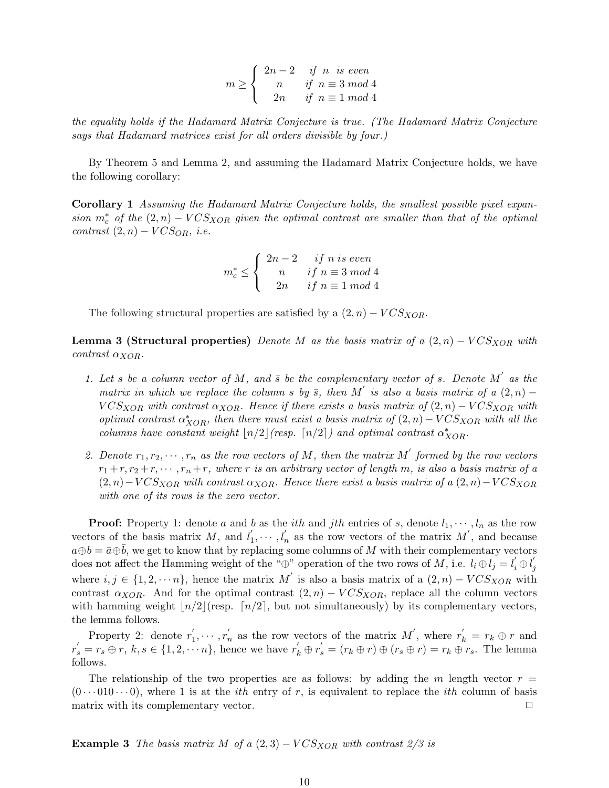$$
m \ge \begin{cases} \begin{array}{c} 2n-2 & \text{if } n \text{ is even} \\ n & \text{if } n \equiv 3 \bmod 4 \\ 2n & \text{if } n \equiv 1 \bmod 4 \end{array} \end{cases}
$$

the equality holds if the Hadamard Matrix Conjecture is true. (The Hadamard Matrix Conjecture says that Hadamard matrices exist for all orders divisible by four.)

By Theorem 5 and Lemma 2, and assuming the Hadamard Matrix Conjecture holds, we have the following corollary:

Corollary 1 Assuming the Hadamard Matrix Conjecture holds, the smallest possible pixel expansion  $m_c^*$  of the  $(2, n) - VCS_{XOR}$  given the optimal contrast are smaller than that of the optimal contrast  $(2, n) - VCS_{OR}$ , i.e.

> $m_c^* \leq$  $\sqrt{ }$  $\mathsf{J}$  $\sqrt{2}$  $2n-2$  if n is even  $n \text{ if } n \equiv 3 \text{ mod } 4$  $2n \quad if \; n \equiv 1 \; mod \; 4$

The following structural properties are satisfied by a  $(2, n) - VCS_{XOR}$ .

**Lemma 3 (Structural properties)** Denote M as the basis matrix of a  $(2, n) - VCS<sub>XOR</sub>$  with contrast  $\alpha_{XOR}$ .

- 1. Let s be a column vector of M, and  $\bar{s}$  be the complementary vector of s. Denote M' as the matrix in which we replace the column s by  $\bar{s}$ , then M' is also a basis matrix of a  $(2,n)$  –  $VCS_{XOR}$  with contrast  $\alpha_{XOR}$ . Hence if there exists a basis matrix of  $(2, n) - VCS_{XOR}$  with optimal contrast  $\alpha^*_{XOR}$ , then there must exist a basis matrix of  $(2, n) - VCS_{XOR}$  with all the columns have constant weight  $\lfloor n/2 \rfloor$  (resp.  $\lceil n/2 \rceil$ ) and optimal contrast  $\alpha^*_{XOR}$ .
- 2. Denote  $r_1, r_2, \dots, r_n$  as the row vectors of M, then the matrix M' formed by the row vectors  $r_1 + r, r_2 + r, \cdots, r_n + r$ , where r is an arbitrary vector of length m, is also a basis matrix of a  $(2, n) - VCS_{XOR}$  with contrast  $\alpha_{XOR}$ . Hence there exist a basis matrix of a  $(2, n) - VCS_{XOR}$ with one of its rows is the zero vector.

**Proof:** Property 1: denote a and b as the *i*th and *j*th entries of s, denote  $l_1, \dots, l_n$  as the row vectors of the basis matrix  $M$ , and  $l'_1$  $\mathbf{I}'_1, \cdots, \mathbf{I}'_n$  as the row vectors of the matrix  $\mathbf{M}'$ , and because  $a \oplus b = \overline{a} \oplus \overline{b}$ , we get to know that by replacing some columns of M with their complementary vectors does not affect the Hamming weight of the "⊕" operation of the two rows of M, i.e.  $l_i \oplus l_j = l'_i \oplus l'_j$ j where  $i, j \in \{1, 2, \dots, n\}$ , hence the matrix M' is also a basis matrix of a  $(2, n) - VCS<sub>XOR</sub>$  with contrast  $\alpha_{XOR}$ . And for the optimal contrast  $(2, n) - VCS_{XOR}$ , replace all the column vectors with hamming weight  $\lfloor n/2 \rfloor$  (resp.  $\lceil n/2 \rceil$ , but not simultaneously) by its complementary vectors, the lemma follows.

Property 2: denote  $r_1'$  $\gamma'_1, \cdots, \gamma'_n$  as the row vectors of the matrix  $M'$ , where  $r'_k = r_k \oplus r$  and  $r'_s = r_s \oplus r, k, s \in \{1, 2, \dots n\}$ , hence we have  $r'_k \oplus r'_s = (r_k \oplus r) \oplus (r_s \oplus r) = r_k \oplus r_s$ . The lemma follows.

The relationship of the two properties are as follows: by adding the  $m$  length vector  $r =$  $(0 \cdots 010 \cdots 0)$ , where 1 is at the *i*th entry of r, is equivalent to replace the *i*th column of basis matrix with its complementary vector.  $\Box$ 

**Example 3** The basis matrix M of a  $(2,3)$  –  $VCS<sub>XOR</sub>$  with contrast  $2/3$  is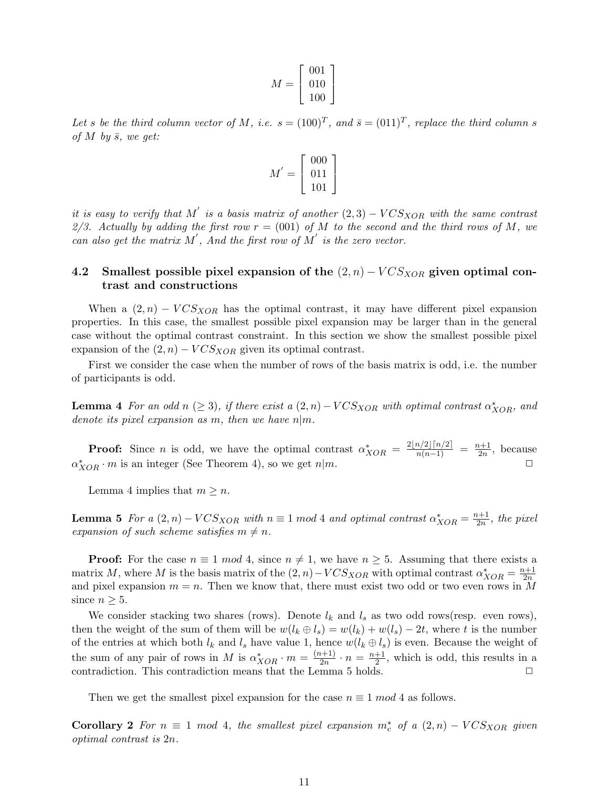$$
M = \left[\begin{array}{c} 001 \\ 010 \\ 100 \end{array}\right]
$$

Let s be the third column vector of M, i.e.  $s = (100)^T$ , and  $\bar{s} = (0.11)^T$ , replace the third column s of  $M$  by  $\bar{s}$ , we get:

$$
M^{'} = \left[\begin{array}{c} 000 \\ 011 \\ 101 \end{array}\right]
$$

it is easy to verify that M' is a basis matrix of another  $(2,3) - VCSXOR$  with the same contrast 2/3. Actually by adding the first row  $r = (001)$  of M to the second and the third rows of M, we can also get the matrix  $M'$ , And the first row of  $M'$  is the zero vector.

### 4.2 Smallest possible pixel expansion of the  $(2, n) - VCS<sub>XOR</sub>$  given optimal contrast and constructions

When a  $(2, n) - VCS<sub>XOR</sub>$  has the optimal contrast, it may have different pixel expansion properties. In this case, the smallest possible pixel expansion may be larger than in the general case without the optimal contrast constraint. In this section we show the smallest possible pixel expansion of the  $(2, n)$  –  $VCS<sub>XOR</sub>$  given its optimal contrast.

First we consider the case when the number of rows of the basis matrix is odd, i.e. the number of participants is odd.

**Lemma 4** For an odd  $n \geq 3$ , if there exist a  $(2, n) - VCS_{XOR}$  with optimal contrast  $\alpha_{XOR}^*$ , and denote its pixel expansion as m, then we have  $n|m$ .

**Proof:** Since *n* is odd, we have the optimal contrast  $\alpha_{XOR}^* = \frac{2\lfloor n/2 \rfloor \lceil n/2 \rceil}{n(n-1)} = \frac{n+1}{2n}$  $\frac{n+1}{2n}$ , because  $\alpha_{XOR}^* \cdot m$  is an integer (See Theorem 4), so we get  $n|m$ .

Lemma 4 implies that  $m \geq n$ .

**Lemma 5** For a  $(2, n) - VCS_{XOR}$  with  $n \equiv 1 \mod 4$  and optimal contrast  $\alpha_{XOR}^* = \frac{n+1}{2n}$  $\frac{n+1}{2n}$ , the pixel expansion of such scheme satisfies  $m \neq n$ .

**Proof:** For the case  $n \equiv 1 \mod 4$ , since  $n \neq 1$ , we have  $n \geq 5$ . Assuming that there exists a matrix M, where M is the basis matrix of the  $(2, n) - VCSXOR$  with optimal contrast  $\alpha_{XOR}^* = \frac{n+1}{2n}$  $_{2n}$ and pixel expansion  $m = n$ . Then we know that, there must exist two odd or two even rows in M since  $n \geq 5$ .

We consider stacking two shares (rows). Denote  $l_k$  and  $l_s$  as two odd rows(resp. even rows), then the weight of the sum of them will be  $w(l_k \oplus l_s) = w(l_k) + w(l_s) - 2t$ , where t is the number of the entries at which both  $l_k$  and  $l_s$  have value 1, hence  $w(l_k \oplus l_s)$  is even. Because the weight of the sum of any pair of rows in M is  $\alpha^*_{XOR} \cdot m = \frac{(n+1)}{2n}$  $\frac{n+1}{2n} \cdot n = \frac{n+1}{2}$  $\frac{+1}{2}$ , which is odd, this results in a contradiction. This contradiction means that the Lemma 5 holds. □

Then we get the smallest pixel expansion for the case  $n \equiv 1 \mod 4$  as follows.

Corollary 2 For  $n \equiv 1 \mod 4$ , the smallest pixel expansion  $m_c^*$  of a  $(2,n) - VCSXOR$  given optimal contrast is  $2n$ .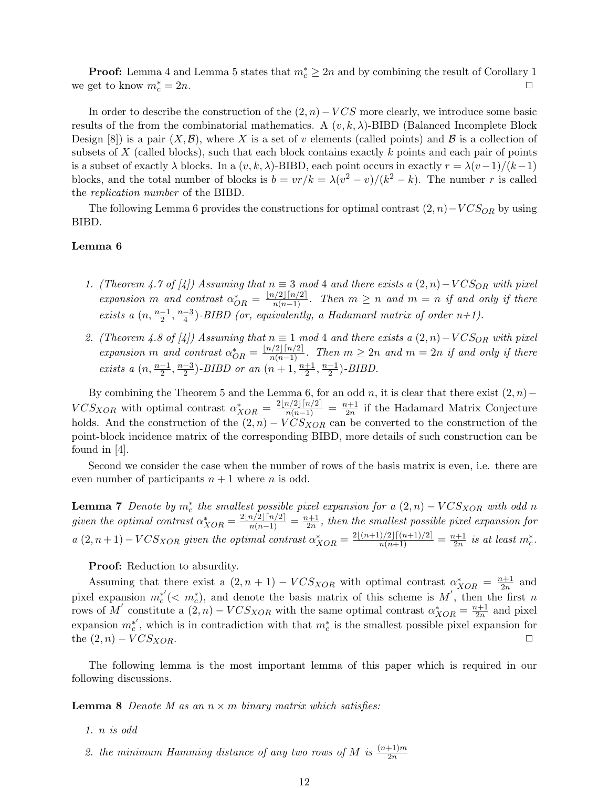**Proof:** Lemma 4 and Lemma 5 states that  $m_c^* \geq 2n$  and by combining the result of Corollary 1 we get to know  $m_c^* = 2n$ .  $\frac{1}{c} = 2n.$ 

In order to describe the construction of the  $(2, n) - VCS$  more clearly, we introduce some basic results of the from the combinatorial mathematics. A  $(v, k, \lambda)$ -BIBD (Balanced Incomplete Block Design [8]) is a pair  $(X,\mathcal{B})$ , where X is a set of v elements (called points) and  $\mathcal{B}$  is a collection of subsets of  $X$  (called blocks), such that each block contains exactly  $k$  points and each pair of points is a subset of exactly  $\lambda$  blocks. In a  $(v, k, \lambda)$ -BIBD, each point occurs in exactly  $r = \lambda(v-1)/(k-1)$ blocks, and the total number of blocks is  $b = v r/k = \lambda (v^2 - v)/(k^2 - k)$ . The number r is called the replication number of the BIBD.

The following Lemma 6 provides the constructions for optimal contrast  $(2, n)-VCS_{OR}$  by using BIBD.

#### Lemma 6

- 1. (Theorem 4.7 of [4]) Assuming that  $n \equiv 3 \mod 4$  and there exists a  $(2, n) VCS_{OR}$  with pixel expansion m and contrast  $\alpha^*_{OR} = \frac{\lfloor n/2 \rfloor \lceil n/2 \rceil}{n(n-1)}$ . Then  $m \geq n$  and  $m = n$  if and only if there exists a  $(n, \frac{n-1}{2}, \frac{n-3}{4})$  $\frac{(-3)}{4}$ )-BIBD (or, equivalently, a Hadamard matrix of order  $n+1$ ).
- 2. (Theorem 4.8 of [4]) Assuming that  $n \equiv 1 \mod 4$  and there exists a  $(2, n) VCS_{OR}$  with pixel expansion m and contrast  $\alpha^*_{OR} = \frac{\lfloor n/2 \rfloor \lceil n/2 \rceil}{n(n-1)}$ . Then  $m \geq 2n$  and  $m = 2n$  if and only if there exists a  $(n, \frac{n-1}{2}, \frac{n-3}{2})$  $\frac{-3}{2}$ )-BIBD or an  $(n+1, \frac{n+1}{2})$  $\frac{+1}{2}, \frac{n-1}{2}$  $\frac{-1}{2}$ )-BIBD.

By combining the Theorem 5 and the Lemma 6, for an odd  $n$ , it is clear that there exist  $(2, n)$  –  $VCS_{XOR}$  with optimal contrast  $\alpha_{XOR}^* = \frac{2\lfloor n/2 \rfloor \lceil n/2 \rceil}{n(n-1)} = \frac{n+1}{2n}$  $\frac{1}{2n}$  if the Hadamard Matrix Conjecture holds. And the construction of the  $(2, n) - VCS<sub>XOR</sub>$  can be converted to the construction of the point-block incidence matrix of the corresponding BIBD, more details of such construction can be found in [4].

Second we consider the case when the number of rows of the basis matrix is even, i.e. there are even number of participants  $n + 1$  where n is odd.

**Lemma 7** Denote by  $m_c^*$  the smallest possible pixel expansion for a  $(2, n) - VCS_{XOR}$  with odd n given the optimal contrast  $\alpha^*_{XOR} = \frac{2\lfloor n/2 \rfloor \lceil n/2 \rceil}{n(n-1)} = \frac{n+1}{2n}$  $\frac{2h+1}{2n}$ , then the smallest possible pixel expansion for  $a(2, n+1) - VCS_{XOR}$  given the optimal contrast  $\alpha_{XOR}^* = \frac{2\lfloor (n+1)/2 \rfloor \lceil (n+1)/2 \rceil}{n(n+1)} = \frac{n+1}{2n}$  $\frac{n+1}{2n}$  is at least  $m_c^*$ .

#### **Proof:** Reduction to absurdity.

Assuming that there exist a  $(2, n + 1) - VCSXOR$  with optimal contrast  $\alpha_{XOR}^* = \frac{n+1}{2n}$  $rac{u+1}{2n}$  and pixel expansion  $m_c^*(\langle m_c^* \rangle)$ , and denote the basis matrix of this scheme is M', then the first n rows of M' constitute a  $(2, n) - VCS_{XOR}$  with the same optimal contrast  $\alpha_{XOR}^* = \frac{n+1}{2n}$  $rac{1}{2n}$  and pixel expansion  $m_c^{*'}$ , which is in contradiction with that  $m_c^{*}$  is the smallest possible pixel expansion for the  $(2, n) - VCS_{XOR}$ .

The following lemma is the most important lemma of this paper which is required in our following discussions.

**Lemma 8** Denote M as an  $n \times m$  binary matrix which satisfies:

- 1.  $n$  is odd
- 2. the minimum Hamming distance of any two rows of M is  $\frac{(n+1)m}{2n}$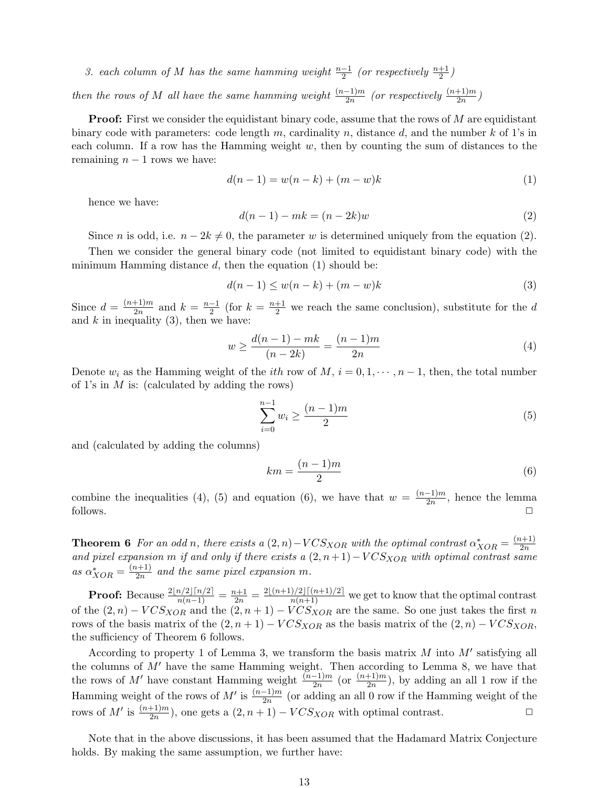3. each column of M has the same hamming weight  $\frac{n-1}{2}$  (or respectively  $\frac{n+1}{2}$ )

then the rows of M all have the same hamming weight  $\frac{(n-1)m}{2n}$  (or respectively  $\frac{(n+1)m}{2n}$ )

**Proof:** First we consider the equidistant binary code, assume that the rows of  $M$  are equidistant binary code with parameters: code length  $m$ , cardinality  $n$ , distance  $d$ , and the number  $k$  of 1's in each column. If a row has the Hamming weight  $w$ , then by counting the sum of distances to the remaining  $n - 1$  rows we have:

$$
d(n-1) = w(n-k) + (m-w)k
$$
 (1)

hence we have:

$$
d(n-1) - mk = (n-2k)w\tag{2}
$$

Since *n* is odd, i.e.  $n - 2k \neq 0$ , the parameter *w* is determined uniquely from the equation (2).

Then we consider the general binary code (not limited to equidistant binary code) with the minimum Hamming distance  $d$ , then the equation (1) should be:

$$
d(n-1) \le w(n-k) + (m-w)k \tag{3}
$$

Since  $d = \frac{(n+1)m}{2n}$  $\frac{+1}{2n}$  and  $k = \frac{n-1}{2}$  $\frac{-1}{2}$  (for  $k = \frac{n+1}{2}$  we reach the same conclusion), substitute for the d and  $k$  in inequality (3), then we have:

$$
w \ge \frac{d(n-1) - mk}{(n-2k)} = \frac{(n-1)m}{2n} \tag{4}
$$

Denote  $w_i$  as the Hamming weight of the *ith* row of  $M, i = 0, 1, \dots, n-1$ , then, the total number of 1's in  $M$  is: (calculated by adding the rows)

$$
\sum_{i=0}^{n-1} w_i \ge \frac{(n-1)m}{2} \tag{5}
$$

and (calculated by adding the columns)

$$
km = \frac{(n-1)m}{2} \tag{6}
$$

combine the inequalities (4), (5) and equation (6), we have that  $w = \frac{(n-1)m}{2n}$  $\frac{-1}{2n}$ , hence the lemma follows.  $\Box$ 

**Theorem 6** For an odd n, there exists a  $(2, n) - VCS_{XOR}$  with the optimal contrast  $\alpha_{XOR}^* = \frac{(n+1)}{2n}$  $_{2n}$ and pixel expansion m if and only if there exists a  $(2, n+1)-VCS<sub>XOR</sub>$  with optimal contrast same as  $\alpha^*_{XOR} = \frac{(n+1)}{2n}$  $\frac{a+1}{2n}$  and the same pixel expansion m.

**Proof:** Because  $\frac{2\lfloor n/2\rfloor \lceil n/2\rceil}{n(n-1)} = \frac{n+1}{2n} = \frac{2\lfloor (n+1)/2\rfloor \lceil (n+1)/2\rceil}{n(n+1)}$  we get to know that the optimal contrast of the  $(2, n) - VCS_{XOR}$  and the  $(2, n+1) - VCS_{XOR}$  are the same. So one just takes the first n rows of the basis matrix of the  $(2, n+1) - VCS_{XOR}$  as the basis matrix of the  $(2, n) - VCS_{XOR}$ , the sufficiency of Theorem 6 follows.

According to property 1 of Lemma 3, we transform the basis matrix  $M$  into  $M'$  satisfying all the columns of  $M'$  have the same Hamming weight. Then according to Lemma 8, we have that the rows of M' have constant Hamming weight  $\frac{(n-1)m}{2n}$  (or  $\frac{(n+1)m}{2n}$ ), by adding an all 1 row if the Hamming weight of the rows of  $M'$  is  $\frac{(n-1)m}{2n}$  (or adding an all 0 row if the Hamming weight of the rows of M' is  $\frac{(n+1)m}{2n}$ , one gets a  $(2, n+1) - VCS_{XOR}$  with optimal contrast.  $\square$ 

Note that in the above discussions, it has been assumed that the Hadamard Matrix Conjecture holds. By making the same assumption, we further have: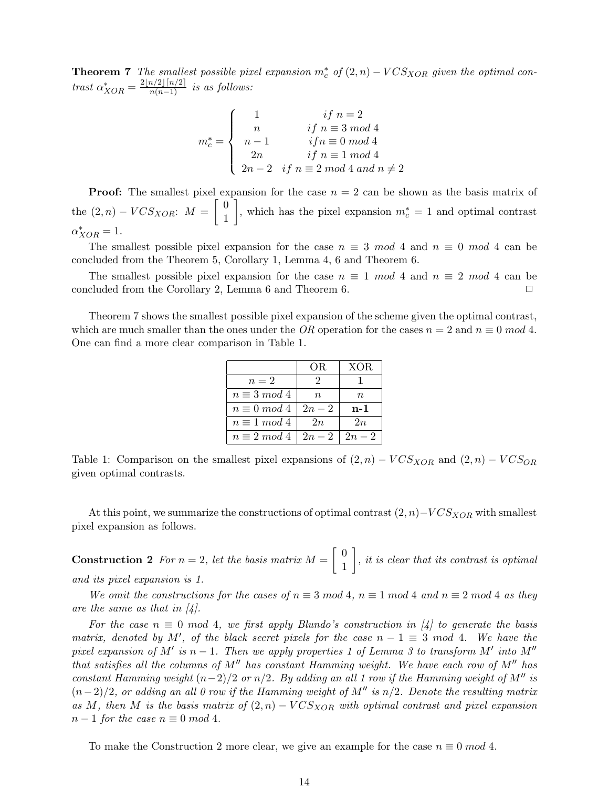**Theorem 7** The smallest possible pixel expansion  $m_c^*$  of  $(2, n) - VCS_{XOR}$  given the optimal contrast  $\alpha^*_{XOR} = \frac{2\lfloor n/2 \rfloor \lceil n/2 \rceil}{n(n-1)}$  is as follows:

$$
m_c^* = \begin{cases} 1 & \text{if } n = 2 \\ n & \text{if } n \equiv 3 \bmod 4 \\ n-1 & \text{if } n \equiv 0 \bmod 4 \\ 2n & \text{if } n \equiv 1 \bmod 4 \\ 2n-2 & \text{if } n \equiv 2 \bmod 4 \bmod n \neq 2 \end{cases}
$$

**Proof:** The smallest pixel expansion for the case  $n = 2$  can be shown as the basis matrix of the  $(2, n) - VCS_{XOR}$ :  $M = \begin{bmatrix} 0 \\ 1 \end{bmatrix}$ 1 , which has the pixel expansion  $m_c^* = 1$  and optimal contrast  $\alpha^*_{XOR} = 1.$ 

The smallest possible pixel expansion for the case  $n \equiv 3 \mod 4$  and  $n \equiv 0 \mod 4$  can be concluded from the Theorem 5, Corollary 1, Lemma 4, 6 and Theorem 6.

The smallest possible pixel expansion for the case  $n \equiv 1 \mod 4$  and  $n \equiv 2 \mod 4$  can be concluded from the Corollary 2, Lemma 6 and Theorem 6.  $\Box$ 

Theorem 7 shows the smallest possible pixel expansion of the scheme given the optimal contrast, which are much smaller than the ones under the OR operation for the cases  $n = 2$  and  $n \equiv 0 \mod 4$ . One can find a more clear comparison in Table 1.

|                     | OR.    | XOR    |
|---------------------|--------|--------|
| $n=2$               | 2      |        |
| $n \equiv 3 \mod 4$ | n      | $\, n$ |
| $n \equiv 0 \mod 4$ | $2n-2$ | n-1    |
| $n \equiv 1 \mod 4$ | 2n     | 2n     |
| $n \equiv 2 \mod 4$ | $2n-2$ | $2n-2$ |

Table 1: Comparison on the smallest pixel expansions of  $(2, n) - VCS_{XOR}$  and  $(2, n) - VCS_{OR}$ given optimal contrasts.

At this point, we summarize the constructions of optimal contrast  $(2, n)-VCS<sub>XOR</sub>$  with smallest pixel expansion as follows.

**Construction 2** For  $n = 2$ , let the basis matrix  $M = \begin{bmatrix} 0 & 0 \\ 1 & 1 \end{bmatrix}$ 1  $\bigg$ , it is clear that its contrast is optimal and its pixel expansion is 1.

We omit the constructions for the cases of  $n \equiv 3 \mod 4$ ,  $n \equiv 1 \mod 4$  and  $n \equiv 2 \mod 4$  as they are the same as that in  $\mathcal{A}$ .

For the case  $n \equiv 0 \mod 4$ , we first apply Blundo's construction in [4] to generate the basis matrix, denoted by M', of the black secret pixels for the case  $n - 1 \equiv 3 \mod 4$ . We have the pixel expansion of M' is  $n-1$ . Then we apply properties 1 of Lemma 3 to transform M' into M'' that satisfies all the columns of  $M''$  has constant Hamming weight. We have each row of  $M''$  has constant Hamming weight  $(n-2)/2$  or  $n/2$ . By adding an all 1 row if the Hamming weight of M<sup>"</sup> is  $(n-2)/2$ , or adding an all 0 row if the Hamming weight of M<sup>''</sup> is  $n/2$ . Denote the resulting matrix as M, then M is the basis matrix of  $(2, n) - VCS<sub>XOR</sub>$  with optimal contrast and pixel expansion  $n-1$  for the case  $n \equiv 0 \mod 4$ .

To make the Construction 2 more clear, we give an example for the case  $n \equiv 0 \mod 4$ .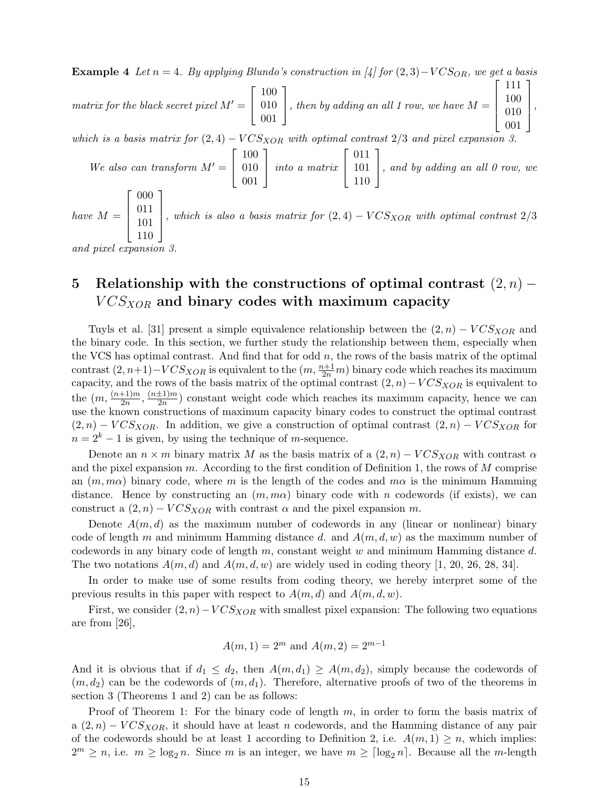**Example 4** Let  $n = 4$ . By applying Blundo's construction in [4] for  $(2, 3) - VCS_{OR}$ , we get a basis  $\lceil$ 100 ⎤  $\lceil$ 111 100 ⎤

matrix for the black secret pixel  $M' =$  $\overline{\phantom{a}}$ 010 001 , then by adding an all 1 row, we have  $M =$ ⎢ ⎢ ⎣ 010 001  $\Big\}$ ,

which is a basis matrix for  $(2, 4) - VCS_{XOR}$  with optimal contrast  $2/3$  and pixel expansion 3.

We also can transform  $M' =$  $\lceil$  $\overline{a}$ 100 010 001 ⎤ | *into a matrix*  $\lceil$  $\overline{a}$ 011 101 110 ⎤  $\vert$ , and by adding an all 0 row, we have  $M =$  $\lceil$ ⎢ ⎢ ⎣ 000 011 101 110 ⎤  $\Big\}$ , which is also a basis matrix for  $(2, 4) - VCSXOR$  with optimal contrast  $2/3$ 

and pixel expansion

## 5 Relationship with the constructions of optimal contrast  $(2, n)$  –  $VCS<sub>XOR</sub>$  and binary codes with maximum capacity

Tuyls et al. [31] present a simple equivalence relationship between the  $(2, n) - VCS<sub>XOR</sub>$  and the binary code. In this section, we further study the relationship between them, especially when the VCS has optimal contrast. And find that for odd  $n$ , the rows of the basis matrix of the optimal contrast  $(2, n+1)-VCS_{XOR}$  is equivalent to the  $(m, \frac{n+1}{2n}m)$  binary code which reaches its maximum capacity, and the rows of the basis matrix of the optimal contrast  $(2, n) - VCS<sub>XOR</sub>$  is equivalent to the  $(m, \frac{(n+1)m}{2n})$  $\frac{(n\pm 1)m}{2n}$ ,  $\frac{(n\pm 1)m}{2n}$  $\frac{\pm 1/m}{2n}$  constant weight code which reaches its maximum capacity, hence we can use the known constructions of maximum capacity binary codes to construct the optimal contrast  $(2, n) - VCS_{XOR}$ . In addition, we give a construction of optimal contrast  $(2, n) - VCS_{XOR}$  for  $n = 2<sup>k</sup> - 1$  is given, by using the technique of *m*-sequence.

Denote an  $n \times m$  binary matrix M as the basis matrix of a  $(2, n) - VCS<sub>XOR</sub>$  with contrast  $\alpha$ and the pixel expansion  $m$ . According to the first condition of Definition 1, the rows of  $M$  comprise an  $(m, m\alpha)$  binary code, where m is the length of the codes and  $m\alpha$  is the minimum Hamming distance. Hence by constructing an  $(m, m\alpha)$  binary code with n codewords (if exists), we can construct a  $(2, n)$  –  $VCS<sub>XOR</sub>$  with contrast  $\alpha$  and the pixel expansion  $m$ .

Denote  $A(m, d)$  as the maximum number of codewords in any (linear or nonlinear) binary code of length m and minimum Hamming distance d. and  $A(m, d, w)$  as the maximum number of codewords in any binary code of length  $m$ , constant weight  $w$  and minimum Hamming distance  $d$ . The two notations  $A(m, d)$  and  $A(m, d, w)$  are widely used in coding theory [1, 20, 26, 28, 34].

In order to make use of some results from coding theory, we hereby interpret some of the previous results in this paper with respect to  $A(m, d)$  and  $A(m, d, w)$ .

First, we consider  $(2, n) - VCS<sub>XOR</sub>$  with smallest pixel expansion: The following two equations are from [26],

$$
A(m, 1) = 2^m
$$
 and  $A(m, 2) = 2^{m-1}$ 

And it is obvious that if  $d_1 \leq d_2$ , then  $A(m, d_1) \geq A(m, d_2)$ , simply because the codewords of  $(m, d_2)$  can be the codewords of  $(m, d_1)$ . Therefore, alternative proofs of two of the theorems in section 3 (Theorems 1 and 2) can be as follows:

Proof of Theorem 1: For the binary code of length  $m$ , in order to form the basis matrix of a  $(2, n)$  –  $VCS<sub>XOR</sub>$ , it should have at least n codewords, and the Hamming distance of any pair of the codewords should be at least 1 according to Definition 2, i.e.  $A(m, 1) \geq n$ , which implies:  $2^m \geq n$ , i.e.  $m \geq \log_2 n$ . Since m is an integer, we have  $m \geq \lceil \log_2 n \rceil$ . Because all the m-length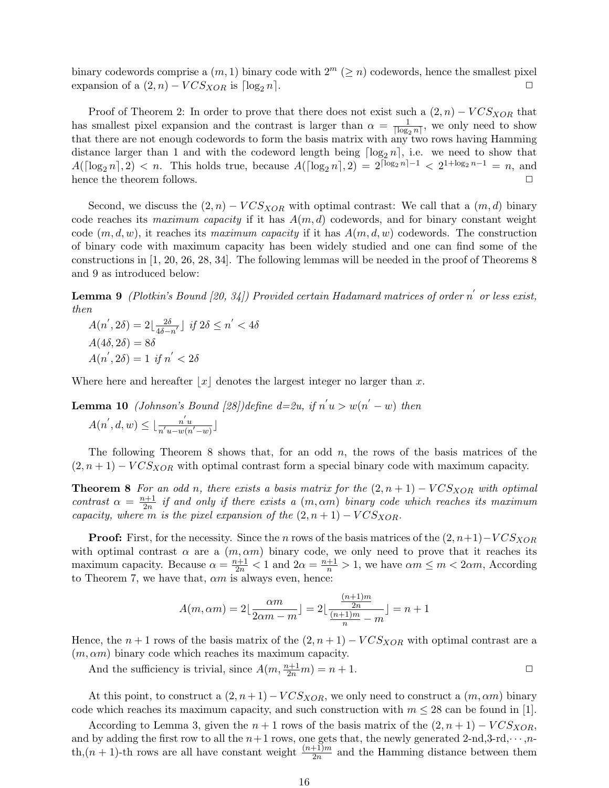binary codewords comprise a  $(m, 1)$  binary code with  $2^m \ (\geq n)$  codewords, hence the smallest pixel expansion of a  $(2, n) - VCS_{XOR}$  is  $\lceil \log_2 n \rceil$ .

Proof of Theorem 2: In order to prove that there does not exist such a  $(2, n) - VCS<sub>XOR</sub>$  that has smallest pixel expansion and the contrast is larger than  $\alpha = \frac{1}{\ln \alpha}$  $\frac{1}{\lceil \log_2 n \rceil}$ , we only need to show that there are not enough codewords to form the basis matrix with any two rows having Hamming distance larger than 1 and with the codeword length being  $\lceil \log_2 n \rceil$ , i.e. we need to show that  $A(\lceil \log_2 n \rceil, 2) < n$ . This holds true, because  $A(\lceil \log_2 n \rceil, 2) = 2^{\lceil \log_2 n \rceil - 1} < 2^{1 + \log_2 n - 1} = n$ , and hence the theorem follows.  $\Box$ 

Second, we discuss the  $(2, n) - VCS_{XOR}$  with optimal contrast: We call that a  $(m, d)$  binary code reaches its maximum capacity if it has  $A(m, d)$  codewords, and for binary constant weight code  $(m, d, w)$ , it reaches its maximum capacity if it has  $A(m, d, w)$  codewords. The construction of binary code with maximum capacity has been widely studied and one can find some of the constructions in [1, 20, 26, 28, 34]. The following lemmas will be needed in the proof of Theorems 8 and 9 as introduced below:

**Lemma 9** (Plotkin's Bound [20, 34]) Provided certain Hadamard matrices of order n' or less exist, then

 $A(n', 2\delta) = 2\left|\frac{2\delta}{4\delta}\right|$  $\frac{2\delta}{4\delta-n'}$  j if  $2\delta \leq n' < 4\delta$  $A(4\delta, 2\delta) = 8\delta$  $A(n^{'}, 2\delta) = 1$  if  $n^{'} < 2\delta$ 

Where here and hereafter  $|x|$  denotes the largest integer no larger than x.

**Lemma 10** (Johnson's Bound [28])define  $d=2u$ , if  $n'u > w(n'-w)$  then ′ ′  $\overline{u}$ 

$$
A(n',d,w) \le \lfloor \frac{n'u}{n'u-w(n'-w)} \rfloor
$$

The following Theorem 8 shows that, for an odd  $n$ , the rows of the basis matrices of the  $(2, n+1) - VCS_{XOR}$  with optimal contrast form a special binary code with maximum capacity.

**Theorem 8** For an odd n, there exists a basis matrix for the  $(2, n + 1) - VCS<sub>XOR</sub>$  with optimal contrast  $\alpha = \frac{n+1}{2n}$  $\frac{a+1}{2n}$  if and only if there exists a  $(m,\alpha m)$  binary code which reaches its maximum capacity, where m is the pixel expansion of the  $(2, n + 1) - VCS<sub>XOR</sub>$ .

**Proof:** First, for the necessity. Since the *n* rows of the basis matrices of the  $(2, n+1)-VCS<sub>XOR</sub>$ with optimal contrast  $\alpha$  are a  $(m, \alpha m)$  binary code, we only need to prove that it reaches its maximum capacity. Because  $\alpha = \frac{n+1}{2n} < 1$  and  $2\alpha = \frac{n+1}{n} > 1$ , we have  $\alpha m \le m < 2\alpha m$ , According to Theorem 7, we have that,  $\alpha m$  is always even, hence:

$$
A(m, \alpha m) = 2\lfloor \frac{\alpha m}{2\alpha m - m} \rfloor = 2\lfloor \frac{\frac{(n+1)m}{2n}}{\frac{(n+1)m}{n} - m} \rfloor = n+1
$$

Hence, the  $n + 1$  rows of the basis matrix of the  $(2, n + 1) - VCSXOR$  with optimal contrast are a  $(m, \alpha m)$  binary code which reaches its maximum capacity.

And the sufficiency is trivial, since  $A(m, \frac{n+1}{2n}m) = n+1$ .

At this point, to construct a  $(2, n+1) - VCS_{XOR}$ , we only need to construct a  $(m, \alpha m)$  binary code which reaches its maximum capacity, and such construction with  $m \leq 28$  can be found in [1].

According to Lemma 3, given the  $n + 1$  rows of the basis matrix of the  $(2, n + 1) - VCS<sub>XOR</sub>$ , and by adding the first row to all the  $n+1$  rows, one gets that, the newly generated 2-nd,3-rd,  $\cdots$ ,nth, $(n + 1)$ -th rows are all have constant weight  $\frac{(n+1)m}{2n}$  and the Hamming distance between them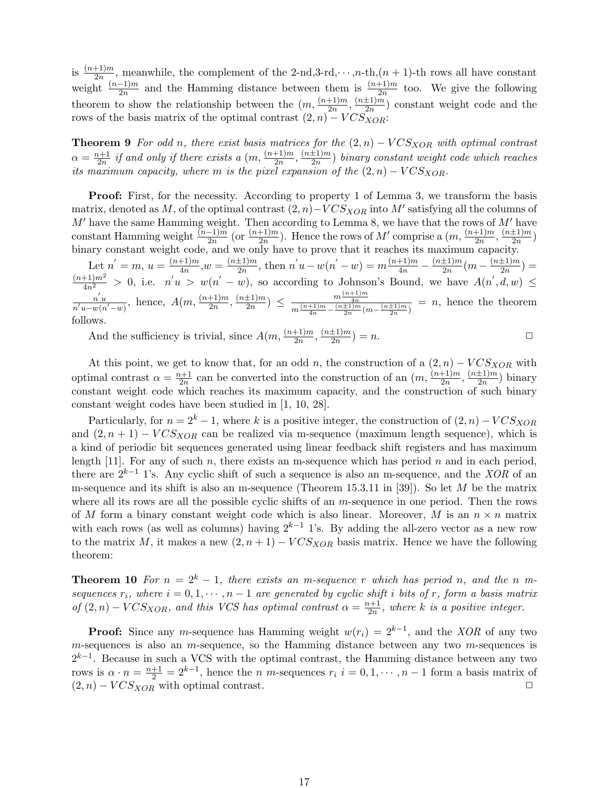is  $\frac{(n+1)m}{2n}$ , meanwhile, the complement of the 2-nd,3-rd,  $\cdots$ , n-th, $(n+1)$ -th rows all have constant weight  $\frac{(n-1)m}{2n}$  and the Hamming distance between them is  $\frac{(n+1)m}{2n}$  too. We give the following theorem to show the relationship between the  $(m, \frac{(n+1)m}{2m})$  $\frac{(n\pm 1)m}{2n}$ ,  $\frac{(n\pm 1)m}{2n}$  $\frac{\pm 1/m}{2n}$  constant weight code and the rows of the basis matrix of the optimal contrast  $(2, n) - VCS<sub>XOR</sub>$ :

**Theorem 9** For odd n, there exist basis matrices for the  $(2, n) - VCS<sub>XOR</sub>$  with optimal contrast  $\alpha = \frac{n+1}{2n}$  $\frac{n+1}{2n}$  if and only if there exists a  $(m,\frac{(n+1)m}{2n})$  $\frac{(n\pm 1)m}{2n}$ ,  $\frac{(n\pm 1)m}{2n}$  $\frac{z_{1}+1}{2n}$ ) binary constant weight code which reaches its maximum capacity, where m is the pixel expansion of the  $(2, n) - VCS<sub>XOR</sub>$ .

Proof: First, for the necessity. According to property 1 of Lemma 3, we transform the basis matrix, denoted as  $M$ , of the optimal contrast  $(2, n)-VCS<sub>XOR</sub>$  into  $M'$  satisfying all the columns of  $M'$  have the same Hamming weight. Then according to Lemma 8, we have that the rows of  $M'$  have constant Hamming weight  $\frac{(n-1)\bar{m}}{2n}$  (or  $\frac{(n+1)m}{2n}$ ). Hence the rows of M' comprise a  $(m, \frac{(n+1)m}{2n})$  $\frac{(n\pm 1)m}{2n}$ ,  $\frac{(n\pm 1)m}{2n}$  $\frac{\pm 1/m}{2n}$ binary constant weight code, and we only have to prove that it reaches its maximum capacity.

Let  $n' = m$ ,  $u = \frac{(n+1)m}{4n}$  $\frac{(n+1)m}{4n}, w = \frac{(n+1)m}{2n}$  $\frac{\pm 1}{2n}$ , then  $n'u - w(n'-w) = m \frac{(n+1)m}{4n} - \frac{(n\pm 1)m}{2n}$  $\frac{\pm 1)m}{2n}(m - \frac{(n\pm 1)m}{2n})$  $\frac{\pm 1/m}{2n}) =$  $\frac{(n+1)m^2}{4n^2} > 0$ , i.e.  $n'u > w(n'-w)$ , so according to Johnson's Bound, we have  $A(n', d, w) \leq$  $n'u$  $\frac{n^{\prime}u}{n^{\prime}u-w(n^{\prime}-w)}$ , hence,  $A(m,\frac{(n+1)m}{2n})$  $\frac{(n\pm1)m}{2n}$ ,  $\frac{(n\pm1)m}{2n}$  $\frac{\pm 1)m}{2n}$ )  $\leq \frac{m \frac{(n+1)m}{4n}}{m \frac{(n+1)m}{4} - (n\pm 1)m}{n}$  $\frac{m}{m} \frac{m-4n}{4n}}{m \cdot \frac{(n+1)m}{2n} (m - \frac{(n+1)m}{2n})} = n$ , hence the theorem follows.

And the sufficiency is trivial, since  $A(m, \frac{(n+1)m}{2m})$  $\frac{(n\pm 1)m}{2n}$ ,  $\frac{(n\pm 1)m}{2n}$  $\frac{\pm 1/m}{2n}$  = n.

At this point, we get to know that, for an odd n, the construction of a  $(2, n) - VCS<sub>XOR</sub>$  with optimal contrast  $\alpha = \frac{n+1}{2n}$  $\frac{2h+1}{2n}$  can be converted into the construction of an  $(m, \frac{(n+1)m}{2n})$  $\frac{(n\pm 1)m}{2n}$ ,  $\frac{(n\pm 1)m}{2n}$  $\frac{\pm 1/m}{2n}$ ) binary constant weight code which reaches its maximum capacity, and the construction of such binary constant weight codes have been studied in [1, 10, 28].

Particularly, for  $n = 2<sup>k</sup> - 1$ , where k is a positive integer, the construction of  $(2, n) - VCS<sub>XOR</sub>$ and  $(2, n+1) - VCS_{XOR}$  can be realized via m-sequence (maximum length sequence), which is a kind of periodic bit sequences generated using linear feedback shift registers and has maximum length [11]. For any of such  $n$ , there exists an m-sequence which has period  $n$  and in each period, there are  $2^{k-1}$  1's. Any cyclic shift of such a sequence is also an m-sequence, and the XOR of an m-sequence and its shift is also an m-sequence (Theorem 15.3.11 in [39]). So let  $M$  be the matrix where all its rows are all the possible cyclic shifts of an  $m$ -sequence in one period. Then the rows of M form a binary constant weight code which is also linear. Moreover, M is an  $n \times n$  matrix with each rows (as well as columns) having  $2^{k-1}$  1's. By adding the all-zero vector as a new row to the matrix M, it makes a new  $(2, n+1) - VCS_{XOR}$  basis matrix. Hence we have the following theorem:

**Theorem 10** For  $n = 2<sup>k</sup> - 1$ , there exists an m-sequence r which has period n, and the n msequences  $r_i$ , where  $i = 0, 1, \dots, n-1$  are generated by cyclic shift i bits of r, form a basis matrix of  $(2, n)$  –  $VCS_{XOR}$ , and this VCS has optimal contrast  $\alpha = \frac{n+1}{2n}$  $\frac{n+1}{2n}$ , where k is a positive integer.

**Proof:** Since any *m*-sequence has Hamming weight  $w(r_i) = 2^{k-1}$ , and the *XOR* of any two  $m$ -sequences is also an  $m$ -sequence, so the Hamming distance between any two  $m$ -sequences is  $2^{k-1}$ . Because in such a VCS with the optimal contrast, the Hamming distance between any two rows is  $\alpha \cdot n = \frac{n+1}{2} = 2^{k-1}$ , hence the *n m*-sequences  $r_i$  *i* = 0, 1,  $\cdots$ , *n* – 1 form a basis matrix of  $(2, n) - VCS_{XOR}$  with optimal contrast. □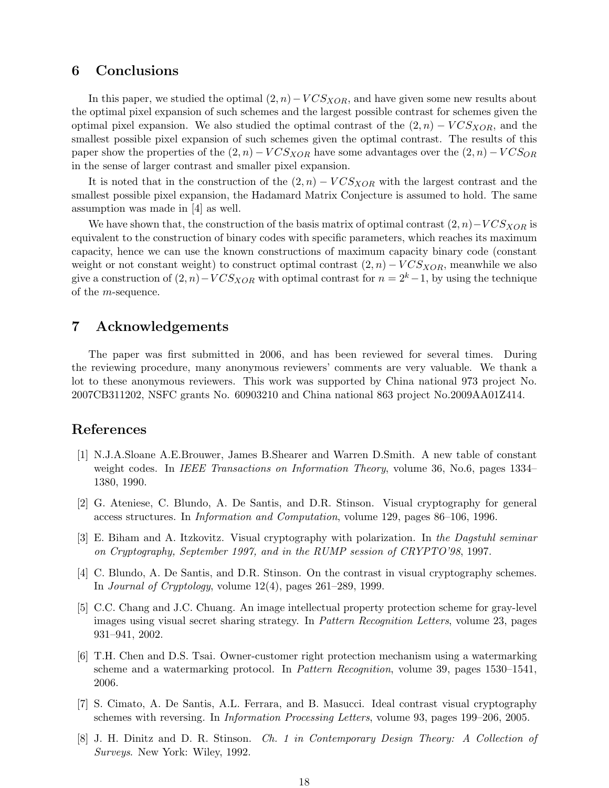#### 6 Conclusions

In this paper, we studied the optimal  $(2, n) - VCS<sub>XOR</sub>$ , and have given some new results about the optimal pixel expansion of such schemes and the largest possible contrast for schemes given the optimal pixel expansion. We also studied the optimal contrast of the  $(2, n) - VCS<sub>XOR</sub>$ , and the smallest possible pixel expansion of such schemes given the optimal contrast. The results of this paper show the properties of the  $(2, n) - VCS_{XOR}$  have some advantages over the  $(2, n) - VCS_{OR}$ in the sense of larger contrast and smaller pixel expansion.

It is noted that in the construction of the  $(2, n) - VCS<sub>XOR</sub>$  with the largest contrast and the smallest possible pixel expansion, the Hadamard Matrix Conjecture is assumed to hold. The same assumption was made in [4] as well.

We have shown that, the construction of the basis matrix of optimal contrast  $(2, n)-VCS<sub>XOR</sub>$  is equivalent to the construction of binary codes with specific parameters, which reaches its maximum capacity, hence we can use the known constructions of maximum capacity binary code (constant weight or not constant weight) to construct optimal contrast  $(2, n) - VCS_{XOR}$ , meanwhile we also give a construction of  $(2, n)-VCS<sub>XOR</sub>$  with optimal contrast for  $n = 2<sup>k</sup> - 1$ , by using the technique of the  $m$ -sequence.

## 7 Acknowledgements

The paper was first submitted in 2006, and has been reviewed for several times. During the reviewing procedure, many anonymous reviewers' comments are very valuable. We thank a lot to these anonymous reviewers. This work was supported by China national 973 project No. 2007CB311202, NSFC grants No. 60903210 and China national 863 project No.2009AA01Z414.

#### References

- [1] N.J.A.Sloane A.E.Brouwer, James B.Shearer and Warren D.Smith. A new table of constant weight codes. In IEEE Transactions on Information Theory, volume 36, No.6, pages 1334– 1380, 1990.
- [2] G. Ateniese, C. Blundo, A. De Santis, and D.R. Stinson. Visual cryptography for general access structures. In Information and Computation, volume 129, pages 86–106, 1996.
- [3] E. Biham and A. Itzkovitz. Visual cryptography with polarization. In the Dagstuhl seminar on Cryptography, September 1997, and in the RUMP session of CRYPTO'98, 1997.
- [4] C. Blundo, A. De Santis, and D.R. Stinson. On the contrast in visual cryptography schemes. In *Journal of Cryptology*, volume  $12(4)$ , pages  $261-289$ , 1999.
- [5] C.C. Chang and J.C. Chuang. An image intellectual property protection scheme for gray-level images using visual secret sharing strategy. In Pattern Recognition Letters, volume 23, pages 931–941, 2002.
- [6] T.H. Chen and D.S. Tsai. Owner-customer right protection mechanism using a watermarking scheme and a watermarking protocol. In Pattern Recognition, volume 39, pages 1530–1541, 2006.
- [7] S. Cimato, A. De Santis, A.L. Ferrara, and B. Masucci. Ideal contrast visual cryptography schemes with reversing. In Information Processing Letters, volume 93, pages 199–206, 2005.
- [8] J. H. Dinitz and D. R. Stinson. Ch. 1 in Contemporary Design Theory: A Collection of Surveys. New York: Wiley, 1992.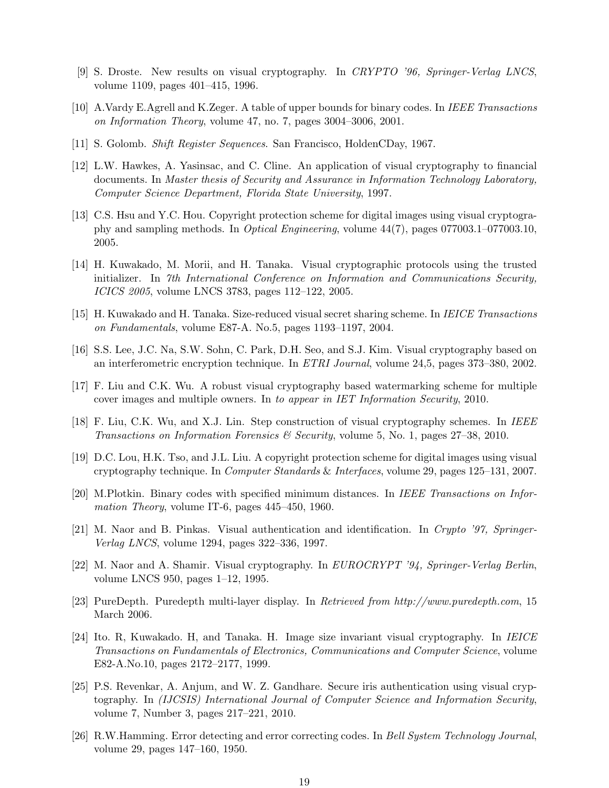- [9] S. Droste. New results on visual cryptography. In CRYPTO '96, Springer-Verlag LNCS, volume 1109, pages 401–415, 1996.
- [10] A.Vardy E.Agrell and K.Zeger. A table of upper bounds for binary codes. In IEEE Transactions on Information Theory, volume 47, no. 7, pages 3004–3006, 2001.
- [11] S. Golomb. Shift Register Sequences. San Francisco, HoldenCDay, 1967.
- [12] L.W. Hawkes, A. Yasinsac, and C. Cline. An application of visual cryptography to financial documents. In Master thesis of Security and Assurance in Information Technology Laboratory, Computer Science Department, Florida State University, 1997.
- [13] C.S. Hsu and Y.C. Hou. Copyright protection scheme for digital images using visual cryptography and sampling methods. In Optical Engineering, volume 44(7), pages 077003.1–077003.10, 2005.
- [14] H. Kuwakado, M. Morii, and H. Tanaka. Visual cryptographic protocols using the trusted initializer. In 7th International Conference on Information and Communications Security, ICICS 2005, volume LNCS 3783, pages 112–122, 2005.
- [15] H. Kuwakado and H. Tanaka. Size-reduced visual secret sharing scheme. In IEICE Transactions on Fundamentals, volume E87-A. No.5, pages 1193–1197, 2004.
- [16] S.S. Lee, J.C. Na, S.W. Sohn, C. Park, D.H. Seo, and S.J. Kim. Visual cryptography based on an interferometric encryption technique. In ETRI Journal, volume 24,5, pages 373–380, 2002.
- [17] F. Liu and C.K. Wu. A robust visual cryptography based watermarking scheme for multiple cover images and multiple owners. In to appear in IET Information Security, 2010.
- [18] F. Liu, C.K. Wu, and X.J. Lin. Step construction of visual cryptography schemes. In IEEE Transactions on Information Forensics & Security, volume 5, No. 1, pages 27–38, 2010.
- [19] D.C. Lou, H.K. Tso, and J.L. Liu. A copyright protection scheme for digital images using visual cryptography technique. In Computer Standards & Interfaces, volume 29, pages 125–131, 2007.
- [20] M.Plotkin. Binary codes with specified minimum distances. In IEEE Transactions on Information Theory, volume IT-6, pages 445–450, 1960.
- [21] M. Naor and B. Pinkas. Visual authentication and identification. In Crypto '97, Springer-Verlag LNCS, volume 1294, pages 322–336, 1997.
- [22] M. Naor and A. Shamir. Visual cryptography. In EUROCRYPT '94, Springer-Verlag Berlin, volume LNCS 950, pages 1–12, 1995.
- [23] PureDepth. Puredepth multi-layer display. In Retrieved from http://www.puredepth.com, 15 March 2006.
- [24] Ito. R, Kuwakado. H, and Tanaka. H. Image size invariant visual cryptography. In IEICE Transactions on Fundamentals of Electronics, Communications and Computer Science, volume E82-A.No.10, pages 2172–2177, 1999.
- [25] P.S. Revenkar, A. Anjum, and W. Z. Gandhare. Secure iris authentication using visual cryptography. In (IJCSIS) International Journal of Computer Science and Information Security, volume 7, Number 3, pages 217–221, 2010.
- [26] R.W.Hamming. Error detecting and error correcting codes. In Bell System Technology Journal, volume 29, pages 147–160, 1950.